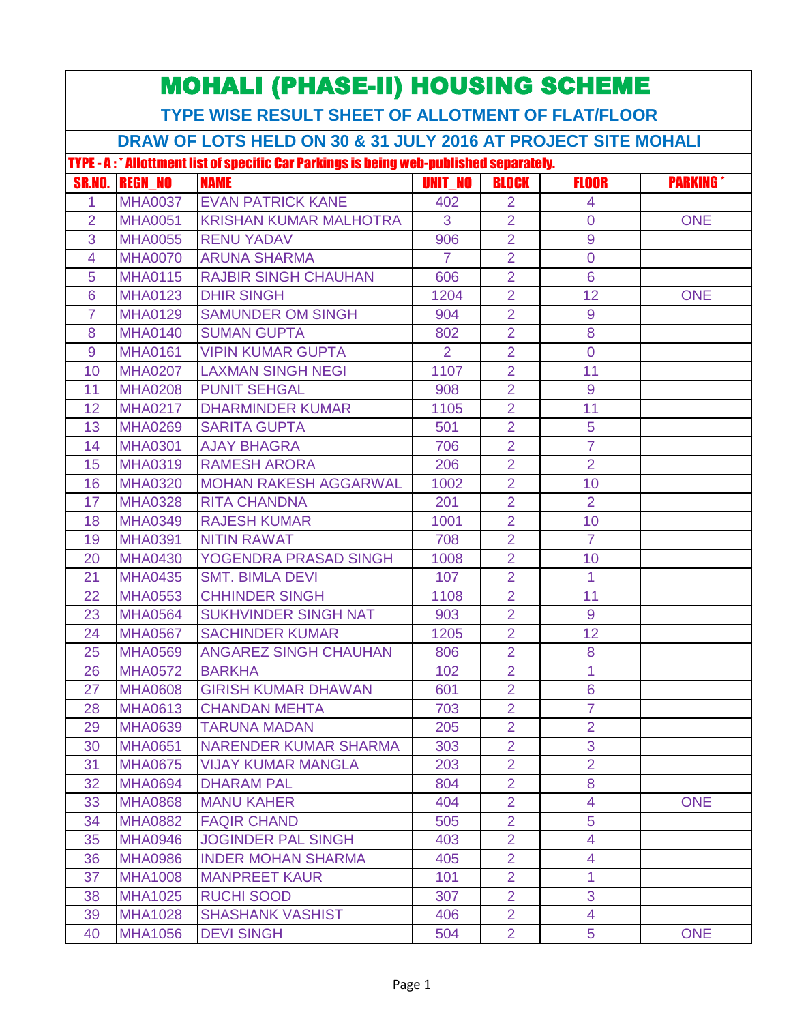| <b>MOHALI (PHASE-II) HOUSING SCHEME</b>                                                 |                                                               |                               |                |                |                |                 |  |  |  |
|-----------------------------------------------------------------------------------------|---------------------------------------------------------------|-------------------------------|----------------|----------------|----------------|-----------------|--|--|--|
| <b>TYPE WISE RESULT SHEET OF ALLOTMENT OF FLAT/FLOOR</b>                                |                                                               |                               |                |                |                |                 |  |  |  |
|                                                                                         | DRAW OF LOTS HELD ON 30 & 31 JULY 2016 AT PROJECT SITE MOHALI |                               |                |                |                |                 |  |  |  |
| TYPE - A: * Allottment list of specific Car Parkings is being web-published separately. |                                                               |                               |                |                |                |                 |  |  |  |
| <b>SR.NO.</b>                                                                           | <b>REGN NO</b>                                                | <b>NAME</b>                   | <b>UNIT NO</b> | <b>BLOCK</b>   | <b>FLOOR</b>   | <b>PARKING*</b> |  |  |  |
| 1.                                                                                      | <b>MHA0037</b>                                                | <b>EVAN PATRICK KANE</b>      | 402            | 2              | 4              |                 |  |  |  |
| $\overline{2}$                                                                          | <b>MHA0051</b>                                                | <b>KRISHAN KUMAR MALHOTRA</b> | 3              | $\overline{2}$ | $\overline{0}$ | <b>ONE</b>      |  |  |  |
| 3                                                                                       | <b>MHA0055</b>                                                | <b>RENU YADAV</b>             | 906            | $\overline{2}$ | 9              |                 |  |  |  |
| 4                                                                                       | <b>MHA0070</b>                                                | <b>ARUNA SHARMA</b>           | $\overline{7}$ | $\overline{2}$ | $\overline{0}$ |                 |  |  |  |
| 5                                                                                       | <b>MHA0115</b>                                                | <b>RAJBIR SINGH CHAUHAN</b>   | 606            | $\overline{2}$ | 6              |                 |  |  |  |
| 6                                                                                       | <b>MHA0123</b>                                                | <b>DHIR SINGH</b>             | 1204           | $\overline{2}$ | 12             | <b>ONE</b>      |  |  |  |
| $\overline{7}$                                                                          | <b>MHA0129</b>                                                | <b>SAMUNDER OM SINGH</b>      | 904            | $\overline{2}$ | 9              |                 |  |  |  |
| 8                                                                                       | <b>MHA0140</b>                                                | <b>SUMAN GUPTA</b>            | 802            | $\overline{2}$ | 8              |                 |  |  |  |
| 9                                                                                       | <b>MHA0161</b>                                                | <b>VIPIN KUMAR GUPTA</b>      | $\overline{2}$ | $\overline{2}$ | $\overline{0}$ |                 |  |  |  |
| 10                                                                                      | <b>MHA0207</b>                                                | <b>LAXMAN SINGH NEGI</b>      | 1107           | $\overline{2}$ | 11             |                 |  |  |  |
| 11                                                                                      | <b>MHA0208</b>                                                | <b>PUNIT SEHGAL</b>           | 908            | $\overline{2}$ | 9              |                 |  |  |  |
| 12                                                                                      | <b>MHA0217</b>                                                | <b>DHARMINDER KUMAR</b>       | 1105           | $\overline{2}$ | 11             |                 |  |  |  |
| 13                                                                                      | <b>MHA0269</b>                                                | <b>SARITA GUPTA</b>           | 501            | $\overline{2}$ | 5              |                 |  |  |  |
| 14                                                                                      | <b>MHA0301</b>                                                | <b>AJAY BHAGRA</b>            | 706            | $\overline{2}$ | $\overline{7}$ |                 |  |  |  |
| 15                                                                                      | <b>MHA0319</b>                                                | <b>RAMESH ARORA</b>           | 206            | $\overline{2}$ | $\overline{2}$ |                 |  |  |  |
| 16                                                                                      | <b>MHA0320</b>                                                | <b>MOHAN RAKESH AGGARWAL</b>  | 1002           | $\overline{2}$ | 10             |                 |  |  |  |
| 17                                                                                      | <b>MHA0328</b>                                                | <b>RITA CHANDNA</b>           | 201            | $\overline{2}$ | $\overline{2}$ |                 |  |  |  |
| 18                                                                                      | <b>MHA0349</b>                                                | <b>RAJESH KUMAR</b>           | 1001           | $\overline{2}$ | 10             |                 |  |  |  |
| 19                                                                                      | <b>MHA0391</b>                                                | <b>NITIN RAWAT</b>            | 708            | $\overline{2}$ | $\overline{7}$ |                 |  |  |  |
| 20                                                                                      | <b>MHA0430</b>                                                | YOGENDRA PRASAD SINGH         | 1008           | $\overline{2}$ | 10             |                 |  |  |  |
| 21                                                                                      | <b>MHA0435</b>                                                | <b>SMT. BIMLA DEVI</b>        | 107            | $\overline{2}$ | $\overline{1}$ |                 |  |  |  |
| 22                                                                                      | <b>MHA0553</b>                                                | <b>CHHINDER SINGH</b>         | 1108           | $\overline{2}$ | 11             |                 |  |  |  |
| 23                                                                                      | <b>MHA0564</b>                                                | <b>SUKHVINDER SINGH NAT</b>   | 903            | $\overline{2}$ | 9              |                 |  |  |  |
| 24                                                                                      | <b>MHA0567</b>                                                | <b>SACHINDER KUMAR</b>        | 1205           | $\overline{2}$ | 12             |                 |  |  |  |
| 25                                                                                      | <b>MHA0569</b>                                                | <b>ANGAREZ SINGH CHAUHAN</b>  | 806            | 2              | 8              |                 |  |  |  |
| 26                                                                                      | <b>MHA0572</b>                                                | <b>BARKHA</b>                 | 102            | $\overline{2}$ | 1              |                 |  |  |  |
| 27                                                                                      | <b>MHA0608</b>                                                | <b>GIRISH KUMAR DHAWAN</b>    | 601            | $\overline{2}$ | $6\phantom{a}$ |                 |  |  |  |
| 28                                                                                      | <b>MHA0613</b>                                                | <b>CHANDAN MEHTA</b>          | 703            | $\overline{2}$ | $\overline{7}$ |                 |  |  |  |
| 29                                                                                      | <b>MHA0639</b>                                                | <b>TARUNA MADAN</b>           | 205            | $\overline{2}$ | $\overline{2}$ |                 |  |  |  |
| 30                                                                                      | <b>MHA0651</b>                                                | NARENDER KUMAR SHARMA         | 303            | $\overline{2}$ | 3              |                 |  |  |  |
| 31                                                                                      | <b>MHA0675</b>                                                | <b>VIJAY KUMAR MANGLA</b>     | 203            | $\overline{2}$ | $\overline{2}$ |                 |  |  |  |
| 32                                                                                      | <b>MHA0694</b>                                                | <b>DHARAM PAL</b>             | 804            | $\overline{2}$ | 8              |                 |  |  |  |
| 33                                                                                      | <b>MHA0868</b>                                                | <b>MANU KAHER</b>             | 404            | $\overline{2}$ | 4              | <b>ONE</b>      |  |  |  |
| 34                                                                                      | <b>MHA0882</b>                                                | <b>FAQIR CHAND</b>            | 505            | $\overline{2}$ | $\overline{5}$ |                 |  |  |  |
| 35                                                                                      | <b>MHA0946</b>                                                | <b>JOGINDER PAL SINGH</b>     | 403            | $\overline{2}$ | 4              |                 |  |  |  |
| 36                                                                                      | <b>MHA0986</b>                                                | <b>INDER MOHAN SHARMA</b>     | 405            | $\overline{2}$ | $\overline{4}$ |                 |  |  |  |
| 37                                                                                      | <b>MHA1008</b>                                                | <b>MANPREET KAUR</b>          | 101            | $\overline{2}$ | 1.             |                 |  |  |  |
| 38                                                                                      | <b>MHA1025</b>                                                | <b>RUCHI SOOD</b>             | 307            | $\overline{2}$ | 3              |                 |  |  |  |
| 39                                                                                      | <b>MHA1028</b>                                                | <b>SHASHANK VASHIST</b>       | 406            | $\overline{2}$ | 4              |                 |  |  |  |
| 40                                                                                      | <b>MHA1056</b>                                                | <b>DEVI SINGH</b>             | 504            | $\overline{2}$ | 5              | <b>ONE</b>      |  |  |  |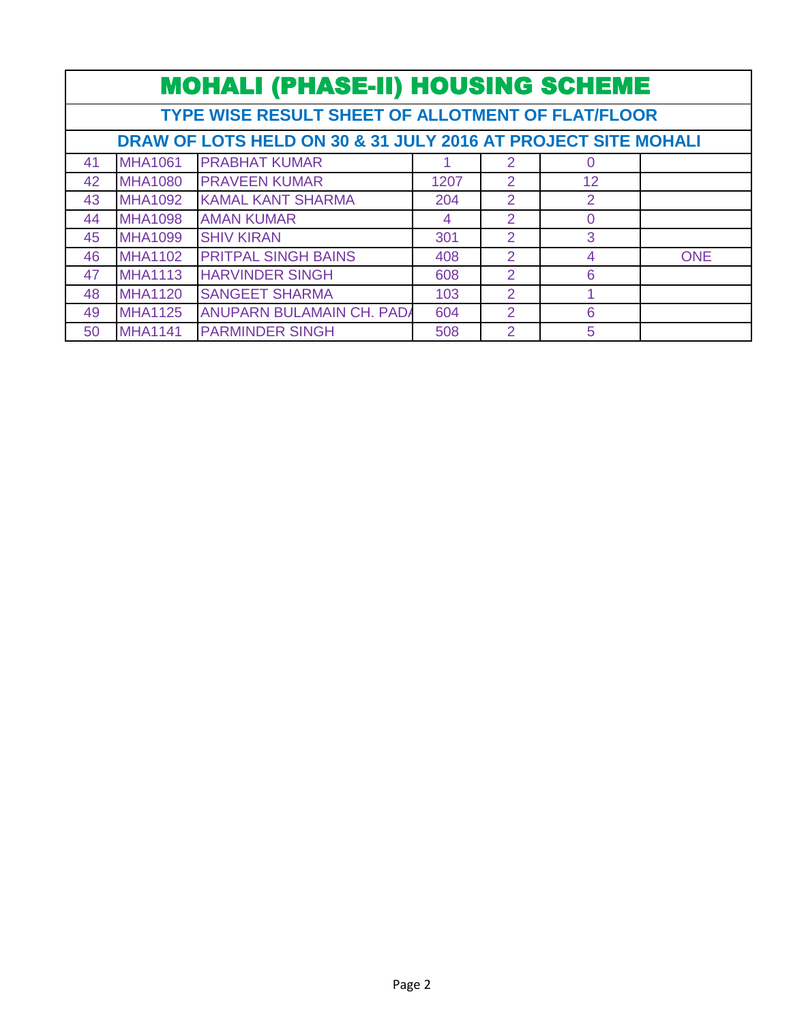|    | <b>MOHALI (PHASE-II) HOUSING SCHEME</b>                       |                                  |      |                |                 |            |  |  |  |
|----|---------------------------------------------------------------|----------------------------------|------|----------------|-----------------|------------|--|--|--|
|    | <b>TYPE WISE RESULT SHEET OF ALLOTMENT OF FLAT/FLOOR</b>      |                                  |      |                |                 |            |  |  |  |
|    | DRAW OF LOTS HELD ON 30 & 31 JULY 2016 AT PROJECT SITE MOHALI |                                  |      |                |                 |            |  |  |  |
| 41 | <b>MHA1061</b>                                                | <b>PRABHAT KUMAR</b>             |      | 2              | 0               |            |  |  |  |
| 42 | <b>MHA1080</b>                                                | <b>PRAVEEN KUMAR</b>             | 1207 | $\mathcal{P}$  | 12 <sup>°</sup> |            |  |  |  |
| 43 | <b>MHA1092</b>                                                | <b>KAMAL KANT SHARMA</b>         | 204  | $\mathcal{P}$  | 2               |            |  |  |  |
| 44 | <b>MHA1098</b>                                                | <b>AMAN KUMAR</b>                | 4    | $\mathcal{P}$  | 0               |            |  |  |  |
| 45 | <b>MHA1099</b>                                                | <b>SHIV KIRAN</b>                | 301  | 2              | 3               |            |  |  |  |
| 46 | <b>MHA1102</b>                                                | <b>PRITPAL SINGH BAINS</b>       | 408  | $\overline{2}$ | 4               | <b>ONE</b> |  |  |  |
| 47 | <b>MHA1113</b>                                                | <b>HARVINDER SINGH</b>           | 608  | $\overline{2}$ | 6               |            |  |  |  |
| 48 | <b>MHA1120</b>                                                | <b>SANGEET SHARMA</b>            | 103  | $\mathcal{P}$  |                 |            |  |  |  |
| 49 | <b>MHA1125</b>                                                | <b>ANUPARN BULAMAIN CH. PADA</b> | 604  | $\mathcal{P}$  | 6               |            |  |  |  |
| 50 | <b>MHA1141</b>                                                | <b>PARMINDER SINGH</b>           | 508  | $\overline{2}$ | 5               |            |  |  |  |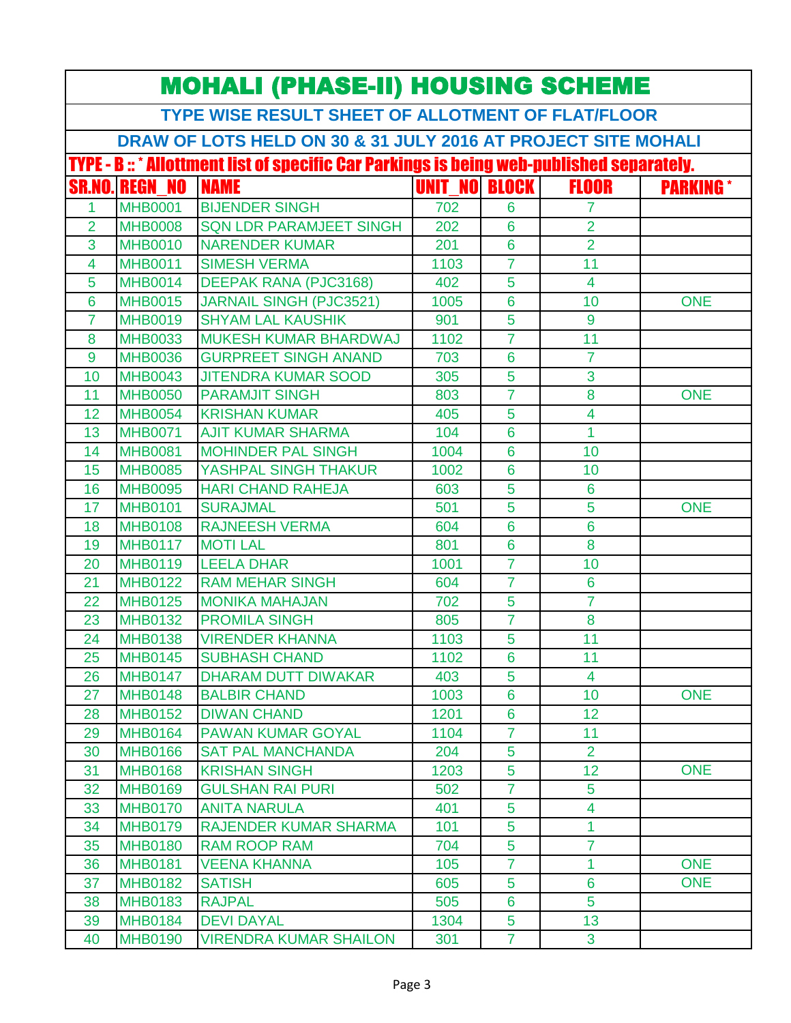| <b>MOHALI (PHASE-II) HOUSING SCHEME</b> |                                                   |                                                                                                  |                      |                     |                                  |                  |  |  |  |
|-----------------------------------------|---------------------------------------------------|--------------------------------------------------------------------------------------------------|----------------------|---------------------|----------------------------------|------------------|--|--|--|
|                                         | TYPE WISE RESULT SHEET OF ALLOTMENT OF FLAT/FLOOR |                                                                                                  |                      |                     |                                  |                  |  |  |  |
|                                         |                                                   | DRAW OF LOTS HELD ON 30 & 31 JULY 2016 AT PROJECT SITE MOHALI                                    |                      |                     |                                  |                  |  |  |  |
|                                         |                                                   | <b>TYPE - B :: * Allottment list of specific Car Parkings is being web-published separately.</b> |                      |                     |                                  |                  |  |  |  |
|                                         | <b>SR.NO. REGN NO</b>                             | <b>NAME</b>                                                                                      | <b>UNIT NO BLOCK</b> |                     | <b>FLOOR</b>                     | <b>PARKING</b> * |  |  |  |
| 1                                       | <b>MHB0001</b>                                    | <b>BIJENDER SINGH</b>                                                                            | 702                  | 6                   | 7                                |                  |  |  |  |
| $\overline{2}$                          | <b>MHB0008</b>                                    | <b>SQN LDR PARAMJEET SINGH</b>                                                                   | 202                  | $6\phantom{1}6$     | $\overline{2}$                   |                  |  |  |  |
| 3                                       | <b>MHB0010</b>                                    | <b>NARENDER KUMAR</b>                                                                            | 201                  | $6\phantom{1}6$     | $\overline{2}$                   |                  |  |  |  |
| 4                                       | <b>MHB0011</b>                                    | <b>SIMESH VERMA</b>                                                                              | 1103                 | $\overline{7}$      | 11                               |                  |  |  |  |
| 5                                       | <b>MHB0014</b>                                    | <b>DEEPAK RANA (PJC3168)</b>                                                                     | 402                  | 5                   | $\overline{\mathbf{4}}$          |                  |  |  |  |
| $6\phantom{1}6$                         | <b>MHB0015</b>                                    | <b>JARNAIL SINGH (PJC3521)</b>                                                                   | 1005                 | $6\phantom{1}6$     | 10                               | <b>ONE</b>       |  |  |  |
| $\overline{7}$                          | <b>MHB0019</b>                                    | <b>SHYAM LAL KAUSHIK</b>                                                                         | 901                  | 5                   | 9                                |                  |  |  |  |
| 8                                       | <b>MHB0033</b>                                    | <b>MUKESH KUMAR BHARDWAJ</b>                                                                     | 1102                 | $\overline{7}$      | 11                               |                  |  |  |  |
| 9                                       | <b>MHB0036</b>                                    | <b>GURPREET SINGH ANAND</b>                                                                      | 703                  | 6                   | $\overline{7}$                   |                  |  |  |  |
| 10                                      | <b>MHB0043</b>                                    | <b>JITENDRA KUMAR SOOD</b>                                                                       | 305                  | 5                   | 3                                |                  |  |  |  |
| 11                                      | <b>MHB0050</b>                                    | <b>PARAMJIT SINGH</b>                                                                            | 803                  | $\overline{7}$      | 8                                | <b>ONE</b>       |  |  |  |
| 12                                      | <b>MHB0054</b>                                    | <b>KRISHAN KUMAR</b>                                                                             | 405                  | 5                   | $\overline{\mathbf{4}}$          |                  |  |  |  |
| 13                                      | <b>MHB0071</b>                                    | <b>AJIT KUMAR SHARMA</b>                                                                         | 104                  | 6                   | $\overline{1}$                   |                  |  |  |  |
| 14                                      | <b>MHB0081</b>                                    | <b>MOHINDER PAL SINGH</b>                                                                        | 1004                 | 6                   | 10                               |                  |  |  |  |
| 15                                      | <b>MHB0085</b>                                    | YASHPAL SINGH THAKUR                                                                             | 1002                 | $6\phantom{1}6$     | 10                               |                  |  |  |  |
| 16                                      | <b>MHB0095</b>                                    | <b>HARI CHAND RAHEJA</b>                                                                         | 603                  | 5                   | 6                                |                  |  |  |  |
| 17                                      | <b>MHB0101</b>                                    | <b>SURAJMAL</b>                                                                                  | 501                  | 5                   | 5                                | <b>ONE</b>       |  |  |  |
| 18                                      | <b>MHB0108</b>                                    | <b>RAJNEESH VERMA</b>                                                                            | 604                  | 6                   | $6\phantom{1}$                   |                  |  |  |  |
| 19                                      | <b>MHB0117</b>                                    | <b>MOTI LAL</b>                                                                                  | 801                  | 6                   | 8                                |                  |  |  |  |
| 20                                      | <b>MHB0119</b>                                    | <b>LEELA DHAR</b>                                                                                | 1001                 | $\overline{7}$      | 10                               |                  |  |  |  |
| 21                                      | <b>MHB0122</b>                                    | <b>RAM MEHAR SINGH</b>                                                                           | 604                  | $\overline{7}$      | 6                                |                  |  |  |  |
| 22                                      | <b>MHB0125</b>                                    | <b>MONIKA MAHAJAN</b>                                                                            | 702                  | 5                   | $\overline{7}$                   |                  |  |  |  |
| 23                                      | <b>MHB0132</b>                                    | <b>PROMILA SINGH</b>                                                                             | 805                  | $\overline{7}$      | 8                                |                  |  |  |  |
| 24                                      | <b>MHB0138</b>                                    | <b>VIRENDER KHANNA</b>                                                                           | 1103                 | 5                   | 11                               |                  |  |  |  |
| 25                                      | <b>MHB0145</b>                                    | <b>SUBHASH CHAND</b>                                                                             | 1102                 | 6                   | 11                               |                  |  |  |  |
| 26                                      | <b>MHB0147</b>                                    | <b>DHARAM DUTT DIWAKAR</b>                                                                       | 403                  | 5                   | 4                                |                  |  |  |  |
| 27                                      | <b>MHB0148</b>                                    | <b>BALBIR CHAND</b>                                                                              | 1003                 | 6                   | 10                               | <b>ONE</b>       |  |  |  |
| 28                                      | <b>MHB0152</b>                                    | <b>DIWAN CHAND</b>                                                                               | 1201                 | 6                   | 12 <sub>2</sub>                  |                  |  |  |  |
| 29                                      | <b>MHB0164</b>                                    | <b>PAWAN KUMAR GOYAL</b>                                                                         | 1104                 | $\overline{7}$      | 11                               |                  |  |  |  |
| 30                                      | <b>MHB0166</b>                                    | <b>SAT PAL MANCHANDA</b>                                                                         | 204                  | 5                   | $\overline{2}$                   |                  |  |  |  |
| 31                                      | <b>MHB0168</b>                                    | <b>KRISHAN SINGH</b>                                                                             | 1203                 | 5                   | 12                               | <b>ONE</b>       |  |  |  |
| 32                                      | <b>MHB0169</b>                                    | <b>GULSHAN RAI PURI</b>                                                                          | 502                  | $\overline{7}$      | 5                                |                  |  |  |  |
| 33                                      | <b>MHB0170</b>                                    | <b>ANITA NARULA</b>                                                                              | 401                  | 5                   | 4                                |                  |  |  |  |
| 34                                      | <b>MHB0179</b>                                    | <b>RAJENDER KUMAR SHARMA</b>                                                                     | 101                  | 5                   | 1                                |                  |  |  |  |
| 35                                      | <b>MHB0180</b>                                    | <b>RAM ROOP RAM</b>                                                                              | 704                  | 5<br>$\overline{7}$ | $\overline{7}$<br>$\overline{1}$ | <b>ONE</b>       |  |  |  |
| 36                                      | <b>MHB0181</b>                                    | <b>VEENA KHANNA</b>                                                                              | 105                  |                     | $6\phantom{a}$                   |                  |  |  |  |
| 37                                      | <b>MHB0182</b>                                    | <b>SATISH</b>                                                                                    | 605                  | 5                   | 5                                | <b>ONE</b>       |  |  |  |
| 38                                      | <b>MHB0183</b>                                    | <b>RAJPAL</b><br><b>DEVI DAYAL</b>                                                               | 505                  | 6                   | 13                               |                  |  |  |  |
| 39                                      | <b>MHB0184</b>                                    |                                                                                                  | 1304                 | 5                   |                                  |                  |  |  |  |
| 40                                      | <b>MHB0190</b>                                    | <b>VIRENDRA KUMAR SHAILON</b>                                                                    | 301                  | $\overline{7}$      | 3                                |                  |  |  |  |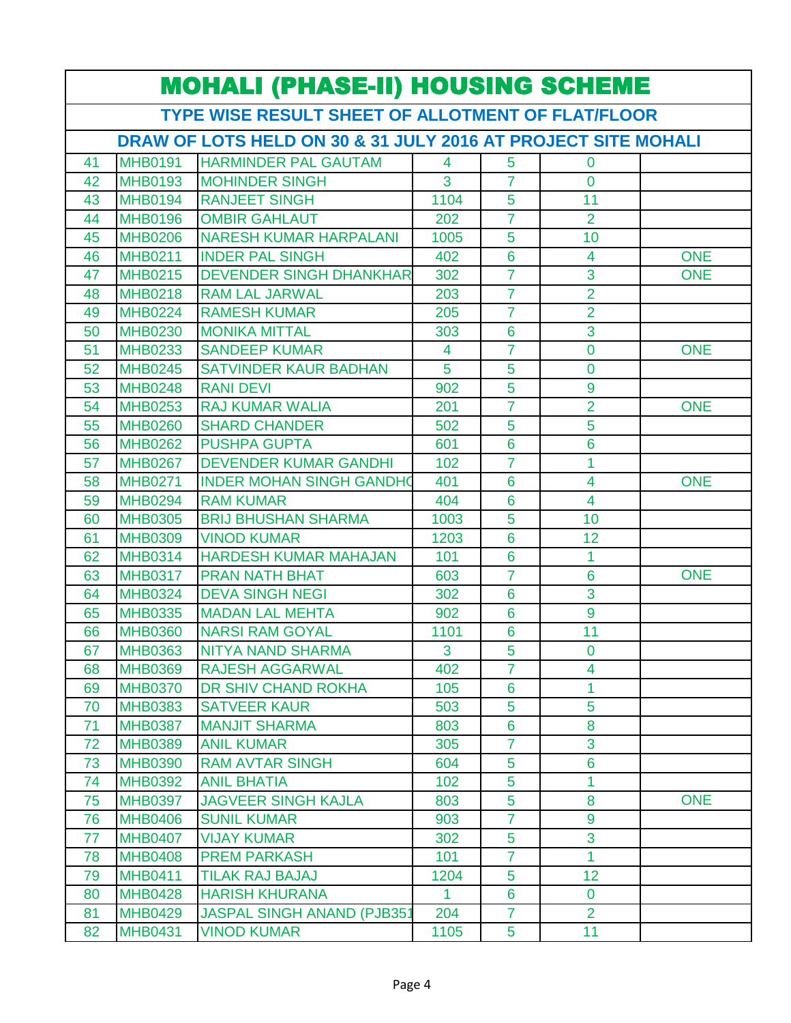|    | <b>MOHALI (PHASE-II) HOUSING SCHEME</b> |                                                               |                |                 |                         |            |  |  |
|----|-----------------------------------------|---------------------------------------------------------------|----------------|-----------------|-------------------------|------------|--|--|
|    |                                         | TYPE WISE RESULT SHEET OF ALLOTMENT OF FLAT/FLOOR             |                |                 |                         |            |  |  |
|    |                                         | DRAW OF LOTS HELD ON 30 & 31 JULY 2016 AT PROJECT SITE MOHALI |                |                 |                         |            |  |  |
| 41 | <b>MHB0191</b>                          | <b>HARMINDER PAL GAUTAM</b>                                   | $\overline{4}$ | 5               | $\mathbf 0$             |            |  |  |
| 42 | <b>MHB0193</b>                          | <b>MOHINDER SINGH</b>                                         | 3              | $\overline{7}$  | $\overline{0}$          |            |  |  |
| 43 | <b>MHB0194</b>                          | <b>RANJEET SINGH</b>                                          | 1104           | 5               | 11                      |            |  |  |
| 44 | <b>MHB0196</b>                          | <b>OMBIR GAHLAUT</b>                                          | 202            | $\overline{7}$  | $\overline{2}$          |            |  |  |
| 45 | <b>MHB0206</b>                          | <b>NARESH KUMAR HARPALANI</b>                                 | 1005           | 5               | 10                      |            |  |  |
| 46 | <b>MHB0211</b>                          | <b>INDER PAL SINGH</b>                                        | 402            | 6               | 4                       | <b>ONE</b> |  |  |
| 47 | <b>MHB0215</b>                          | <b>DEVENDER SINGH DHANKHAR</b>                                | 302            | $\overline{7}$  | 3                       | <b>ONE</b> |  |  |
| 48 | <b>MHB0218</b>                          | <b>RAM LAL JARWAL</b>                                         | 203            | $\overline{7}$  | $\overline{2}$          |            |  |  |
| 49 | <b>MHB0224</b>                          | <b>RAMESH KUMAR</b>                                           | 205            | $\overline{7}$  | $\overline{2}$          |            |  |  |
| 50 | <b>MHB0230</b>                          | <b>MONIKA MITTAL</b>                                          | 303            | $6\phantom{1}6$ | 3                       |            |  |  |
| 51 | <b>MHB0233</b>                          | <b>SANDEEP KUMAR</b>                                          | 4              | 7               | 0                       | <b>ONE</b> |  |  |
| 52 | <b>MHB0245</b>                          | <b>SATVINDER KAUR BADHAN</b>                                  | 5              | 5               | 0                       |            |  |  |
| 53 | <b>MHB0248</b>                          | <b>RANI DEVI</b>                                              | 902            | 5               | 9                       |            |  |  |
| 54 | <b>MHB0253</b>                          | <b>RAJ KUMAR WALIA</b>                                        | 201            | $\overline{7}$  | $\overline{2}$          | <b>ONE</b> |  |  |
| 55 | <b>MHB0260</b>                          | <b>SHARD CHANDER</b>                                          | 502            | 5               | 5                       |            |  |  |
| 56 | <b>MHB0262</b>                          | <b>PUSHPA GUPTA</b>                                           | 601            | $6\phantom{1}6$ | 6                       |            |  |  |
| 57 | <b>MHB0267</b>                          | <b>DEVENDER KUMAR GANDHI</b>                                  | 102            | $\overline{7}$  | 1                       |            |  |  |
| 58 | <b>MHB0271</b>                          | <b>INDER MOHAN SINGH GANDHO</b>                               | 401            | 6               | 4                       | <b>ONE</b> |  |  |
| 59 | <b>MHB0294</b>                          | <b>RAM KUMAR</b>                                              | 404            | 6               | $\overline{\mathbf{4}}$ |            |  |  |
| 60 | <b>MHB0305</b>                          | <b>BRIJ BHUSHAN SHARMA</b>                                    | 1003           | 5               | 10                      |            |  |  |
| 61 | <b>MHB0309</b>                          | <b>VINOD KUMAR</b>                                            | 1203           | $6\phantom{1}6$ | 12                      |            |  |  |
| 62 | <b>MHB0314</b>                          | <b>HARDESH KUMAR MAHAJAN</b>                                  | 101            | 6               | 1                       |            |  |  |
| 63 | <b>MHB0317</b>                          | <b>PRAN NATH BHAT</b>                                         | 603            | $\overline{7}$  | 6                       | <b>ONE</b> |  |  |
| 64 | <b>MHB0324</b>                          | <b>DEVA SINGH NEGI</b>                                        | 302            | 6               | 3                       |            |  |  |
| 65 | <b>MHB0335</b>                          | <b>MADAN LAL MEHTA</b>                                        | 902            | 6               | 9                       |            |  |  |
| 66 | <b>MHB0360</b>                          | <b>NARSI RAM GOYAL</b>                                        | 1101           | $6\phantom{1}6$ | 11                      |            |  |  |
| 67 | <b>MHB0363</b>                          | <b>NITYA NAND SHARMA</b>                                      | 3              | 5 <sup>5</sup>  | $\mathbf 0$             |            |  |  |
| 68 | <b>MHB0369</b>                          | <b>RAJESH AGGARWAL</b>                                        | 402            | $\overline{7}$  | 4                       |            |  |  |
| 69 | <b>MHB0370</b>                          | <b>DR SHIV CHAND ROKHA</b>                                    | 105            | 6               | 1                       |            |  |  |
| 70 | <b>MHB0383</b>                          | <b>SATVEER KAUR</b>                                           | 503            | 5               | 5                       |            |  |  |
| 71 | <b>MHB0387</b>                          | <b>MANJIT SHARMA</b>                                          | 803            | 6               | 8                       |            |  |  |
| 72 | <b>MHB0389</b>                          | <b>ANIL KUMAR</b>                                             | 305            | $\overline{7}$  | 3                       |            |  |  |
| 73 | <b>MHB0390</b>                          | <b>RAM AVTAR SINGH</b>                                        | 604            | 5               | $6\phantom{1}6$         |            |  |  |
| 74 | <b>MHB0392</b>                          | <b>ANIL BHATIA</b>                                            | 102            | 5               | 1                       |            |  |  |
| 75 | <b>MHB0397</b>                          | <b>JAGVEER SINGH KAJLA</b>                                    | 803            | 5               | 8                       | <b>ONE</b> |  |  |
| 76 | <b>MHB0406</b>                          | <b>SUNIL KUMAR</b>                                            | 903            | $\overline{7}$  | 9                       |            |  |  |
| 77 | <b>MHB0407</b>                          | <b>VIJAY KUMAR</b>                                            | 302            | 5               | 3                       |            |  |  |
| 78 | <b>MHB0408</b>                          | <b>PREM PARKASH</b>                                           | 101            | $\overline{7}$  | 1                       |            |  |  |
| 79 | <b>MHB0411</b>                          | <b>TILAK RAJ BAJAJ</b>                                        | 1204           | 5               | 12                      |            |  |  |
| 80 | <b>MHB0428</b>                          | <b>HARISH KHURANA</b>                                         | $\mathbf{1}$   | 6               | $\mathbf{0}$            |            |  |  |
| 81 | <b>MHB0429</b>                          | <b>JASPAL SINGH ANAND (PJB351</b>                             | 204            | $\overline{7}$  | $\overline{2}$          |            |  |  |
| 82 | <b>MHB0431</b>                          | <b>VINOD KUMAR</b>                                            | 1105           | 5               | 11                      |            |  |  |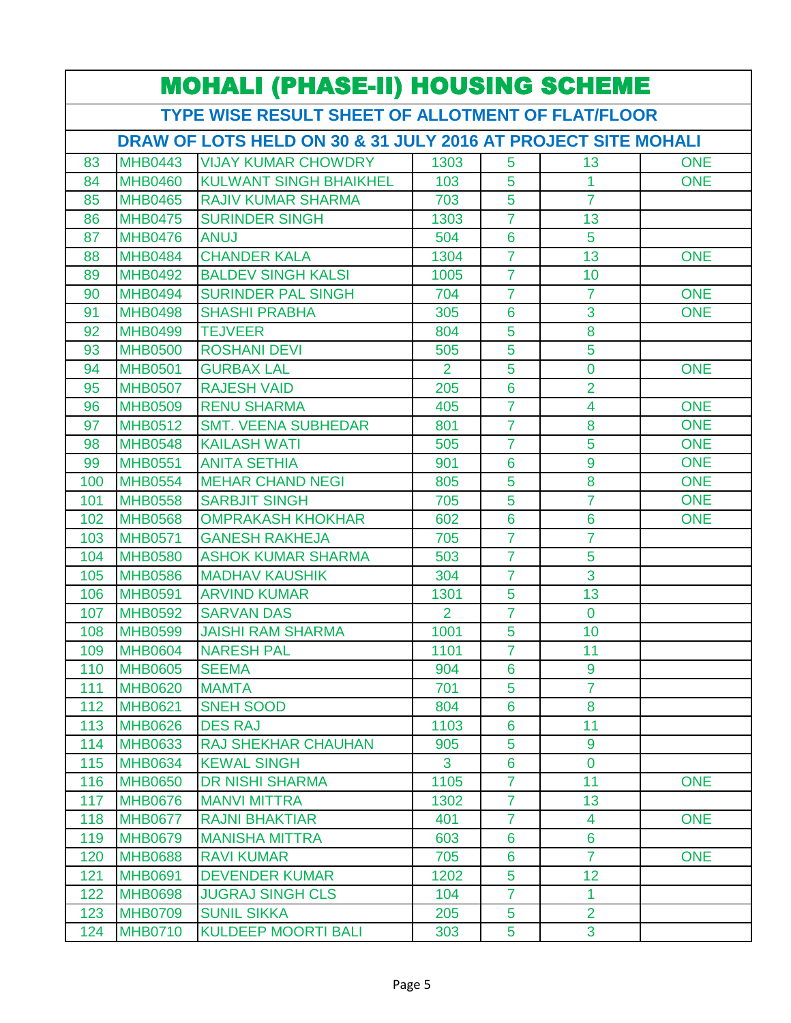|                                                   | <b>MOHALI (PHASE-II) HOUSING SCHEME</b>                       |                               |                |                 |                 |            |  |  |
|---------------------------------------------------|---------------------------------------------------------------|-------------------------------|----------------|-----------------|-----------------|------------|--|--|
| TYPE WISE RESULT SHEET OF ALLOTMENT OF FLAT/FLOOR |                                                               |                               |                |                 |                 |            |  |  |
|                                                   | DRAW OF LOTS HELD ON 30 & 31 JULY 2016 AT PROJECT SITE MOHALI |                               |                |                 |                 |            |  |  |
| 83                                                | <b>MHB0443</b>                                                | <b>VIJAY KUMAR CHOWDRY</b>    | 1303           | 5               | 13              | <b>ONE</b> |  |  |
| 84                                                | <b>MHB0460</b>                                                | <b>KULWANT SINGH BHAIKHEL</b> | 103            | 5               | 1               | <b>ONE</b> |  |  |
| 85                                                | <b>MHB0465</b>                                                | <b>RAJIV KUMAR SHARMA</b>     | 703            | 5               | $\overline{7}$  |            |  |  |
| 86                                                | <b>MHB0475</b>                                                | <b>SURINDER SINGH</b>         | 1303           | 7               | 13              |            |  |  |
| 87                                                | <b>MHB0476</b>                                                | <b>ANUJ</b>                   | 504            | $6\phantom{1}6$ | 5               |            |  |  |
| 88                                                | <b>MHB0484</b>                                                | <b>CHANDER KALA</b>           | 1304           | $\overline{7}$  | 13              | <b>ONE</b> |  |  |
| 89                                                | <b>MHB0492</b>                                                | <b>BALDEV SINGH KALSI</b>     | 1005           | $\overline{7}$  | 10              |            |  |  |
| 90                                                | <b>MHB0494</b>                                                | <b>SURINDER PAL SINGH</b>     | 704            | $\overline{7}$  | $\overline{7}$  | <b>ONE</b> |  |  |
| 91                                                | <b>MHB0498</b>                                                | <b>SHASHI PRABHA</b>          | 305            | 6               | 3               | <b>ONE</b> |  |  |
| 92                                                | <b>MHB0499</b>                                                | <b>TEJVEER</b>                | 804            | 5               | 8               |            |  |  |
| 93                                                | <b>MHB0500</b>                                                | <b>ROSHANI DEVI</b>           | 505            | 5               | 5               |            |  |  |
| 94                                                | <b>MHB0501</b>                                                | <b>GURBAX LAL</b>             | $\overline{2}$ | 5               | 0               | ONE        |  |  |
| 95                                                | <b>MHB0507</b>                                                | <b>RAJESH VAID</b>            | 205            | 6               | $\overline{2}$  |            |  |  |
| 96                                                | <b>MHB0509</b>                                                | <b>RENU SHARMA</b>            | 405            | $\overline{7}$  | 4               | <b>ONE</b> |  |  |
| 97                                                | <b>MHB0512</b>                                                | <b>SMT. VEENA SUBHEDAR</b>    | 801            | $\overline{7}$  | 8               | <b>ONE</b> |  |  |
| 98                                                | <b>MHB0548</b>                                                | <b>KAILASH WATI</b>           | 505            | $\overline{7}$  | 5               | <b>ONE</b> |  |  |
| 99                                                | <b>MHB0551</b>                                                | <b>ANITA SETHIA</b>           | 901            | 6               | 9               | <b>ONE</b> |  |  |
| 100                                               | <b>MHB0554</b>                                                | <b>MEHAR CHAND NEGI</b>       | 805            | 5               | 8               | <b>ONE</b> |  |  |
| 101                                               | <b>MHB0558</b>                                                | <b>SARBJIT SINGH</b>          | 705            | 5               | $\overline{7}$  | <b>ONE</b> |  |  |
| 102                                               | <b>MHB0568</b>                                                | <b>OMPRAKASH KHOKHAR</b>      | 602            | $6\phantom{a}$  | $6\overline{6}$ | <b>ONE</b> |  |  |
| 103                                               | <b>MHB0571</b>                                                | <b>GANESH RAKHEJA</b>         | 705            | $\overline{7}$  | $\overline{7}$  |            |  |  |
| 104                                               | <b>MHB0580</b>                                                | <b>ASHOK KUMAR SHARMA</b>     | 503            | $\overline{7}$  | 5               |            |  |  |
| 105                                               | <b>MHB0586</b>                                                | <b>MADHAV KAUSHIK</b>         | 304            | $\overline{7}$  | 3               |            |  |  |
| 106                                               | <b>MHB0591</b>                                                | <b>ARVIND KUMAR</b>           | 1301           | 5               | 13              |            |  |  |
| 107                                               | <b>MHB0592</b>                                                | <b>SARVAN DAS</b>             | 2              | $\overline{7}$  | $\overline{0}$  |            |  |  |
| 108                                               | <b>MHB0599</b>                                                | <b>JAISHI RAM SHARMA</b>      | 1001           | 5               | 10              |            |  |  |
| 109                                               | <b>MHB0604</b>                                                | <b>NARESH PAL</b>             | 1101           | $\overline{7}$  | 11              |            |  |  |
| 110                                               | <b>MHB0605</b>                                                | <b>SEEMA</b>                  | 904            | 6               | 9               |            |  |  |
| 111                                               | <b>MHB0620</b>                                                | <b>MAMTA</b>                  | 701            | 5               | $\overline{7}$  |            |  |  |
| 112                                               | <b>MHB0621</b>                                                | <b>SNEH SOOD</b>              | 804            | 6               | 8               |            |  |  |
| 113                                               | <b>MHB0626</b>                                                | <b>DES RAJ</b>                | 1103           | 6               | 11              |            |  |  |
| 114                                               | <b>MHB0633</b>                                                | <b>RAJ SHEKHAR CHAUHAN</b>    | 905            | 5               | 9               |            |  |  |
| 115                                               | <b>MHB0634</b>                                                | <b>KEWAL SINGH</b>            | 3 <sup>1</sup> | $6\phantom{a}$  | $\overline{0}$  |            |  |  |
| 116                                               | <b>MHB0650</b>                                                | <b>DR NISHI SHARMA</b>        | 1105           | $\overline{7}$  | 11              | <b>ONE</b> |  |  |
| 117                                               | <b>MHB0676</b>                                                | <b>MANVI MITTRA</b>           | 1302           | $\overline{7}$  | 13              |            |  |  |
| 118                                               | <b>MHB0677</b>                                                | <b>RAJNI BHAKTIAR</b>         | 401            | $\overline{7}$  | $\overline{4}$  | <b>ONE</b> |  |  |
| 119                                               | <b>MHB0679</b>                                                | <b>MANISHA MITTRA</b>         | 603            | 6               | $6\phantom{1}$  |            |  |  |
| 120                                               | <b>MHB0688</b>                                                | <b>RAVI KUMAR</b>             | 705            | 6               | $\overline{7}$  | <b>ONE</b> |  |  |
| 121                                               | <b>MHB0691</b>                                                | <b>DEVENDER KUMAR</b>         | 1202           | 5               | 12 <sub>2</sub> |            |  |  |
| 122                                               | <b>MHB0698</b>                                                | <b>JUGRAJ SINGH CLS</b>       | 104            | $\overline{7}$  | 1               |            |  |  |
| 123                                               | <b>MHB0709</b>                                                | <b>SUNIL SIKKA</b>            | 205            | 5               | $\overline{2}$  |            |  |  |
| 124                                               | <b>MHB0710</b>                                                | <b>KULDEEP MOORTI BALI</b>    | 303            | 5               | 3               |            |  |  |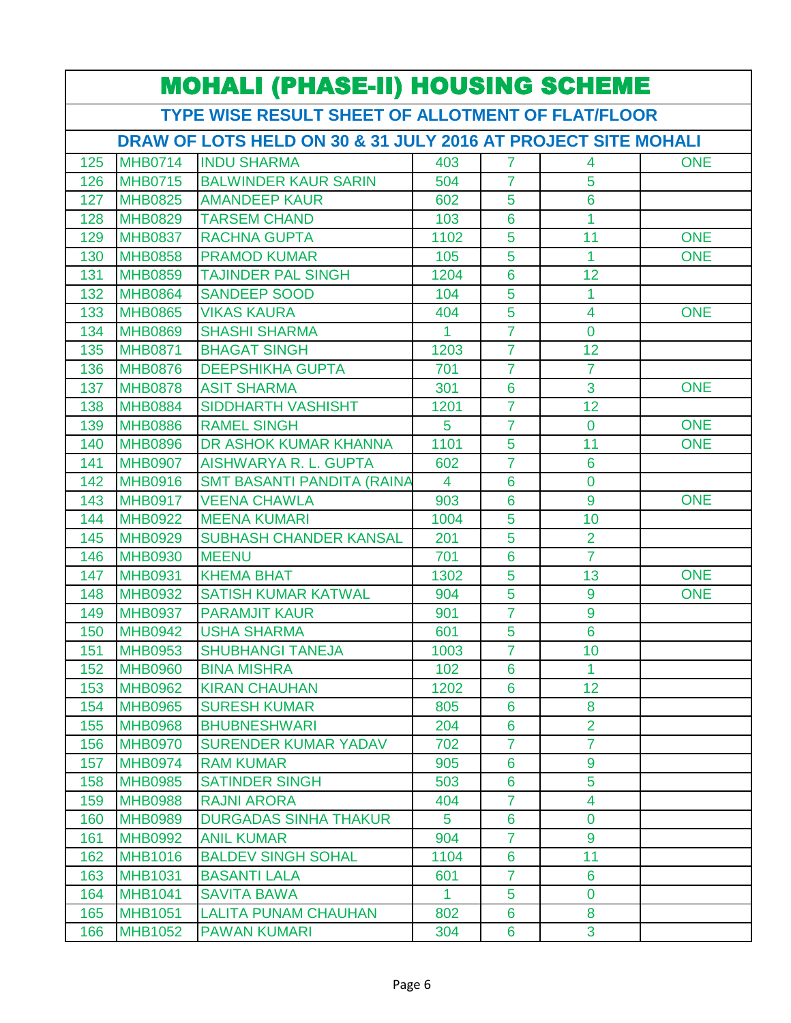| <b>MOHALI (PHASE-II) HOUSING SCHEME</b>           |                |                                                               |              |                 |                 |            |  |  |
|---------------------------------------------------|----------------|---------------------------------------------------------------|--------------|-----------------|-----------------|------------|--|--|
| TYPE WISE RESULT SHEET OF ALLOTMENT OF FLAT/FLOOR |                |                                                               |              |                 |                 |            |  |  |
|                                                   |                | DRAW OF LOTS HELD ON 30 & 31 JULY 2016 AT PROJECT SITE MOHALI |              |                 |                 |            |  |  |
| 125                                               | <b>MHB0714</b> | <b>INDU SHARMA</b>                                            | 403          | $\overline{7}$  | 4               | <b>ONE</b> |  |  |
| 126                                               | <b>MHB0715</b> | <b>BALWINDER KAUR SARIN</b>                                   | 504          | $\overline{7}$  | 5               |            |  |  |
| 127                                               | <b>MHB0825</b> | <b>AMANDEEP KAUR</b>                                          | 602          | 5               | 6               |            |  |  |
| 128                                               | <b>MHB0829</b> | <b>TARSEM CHAND</b>                                           | 103          | 6               | 1               |            |  |  |
| 129                                               | <b>MHB0837</b> | <b>RACHNA GUPTA</b>                                           | 1102         | 5               | 11              | <b>ONE</b> |  |  |
| 130                                               | <b>MHB0858</b> | <b>PRAMOD KUMAR</b>                                           | 105          | 5               | 1               | <b>ONE</b> |  |  |
| 131                                               | <b>MHB0859</b> | <b>TAJINDER PAL SINGH</b>                                     | 1204         | $6\phantom{1}6$ | 12              |            |  |  |
| 132                                               | <b>MHB0864</b> | <b>SANDEEP SOOD</b>                                           | 104          | 5               | 1               |            |  |  |
| 133                                               | <b>MHB0865</b> | <b>VIKAS KAURA</b>                                            | 404          | 5               | $\overline{4}$  | <b>ONE</b> |  |  |
| 134                                               | <b>MHB0869</b> | <b>SHASHI SHARMA</b>                                          | 1            | $\overline{7}$  | $\overline{0}$  |            |  |  |
| 135                                               | <b>MHB0871</b> | <b>BHAGAT SINGH</b>                                           | 1203         | 7               | 12              |            |  |  |
| 136                                               | <b>MHB0876</b> | <b>DEEPSHIKHA GUPTA</b>                                       | 701          | $\overline{7}$  | $\overline{7}$  |            |  |  |
| 137                                               | <b>MHB0878</b> | <b>ASIT SHARMA</b>                                            | 301          | 6               | $\overline{3}$  | <b>ONE</b> |  |  |
| 138                                               | <b>MHB0884</b> | <b>SIDDHARTH VASHISHT</b>                                     | 1201         | $\overline{7}$  | 12              |            |  |  |
| 139                                               | <b>MHB0886</b> | <b>RAMEL SINGH</b>                                            | 5            | $\overline{7}$  | $\overline{0}$  | <b>ONE</b> |  |  |
| 140                                               | <b>MHB0896</b> | DR ASHOK KUMAR KHANNA                                         | 1101         | 5               | 11              | <b>ONE</b> |  |  |
| 141                                               | <b>MHB0907</b> | <b>AISHWARYA R. L. GUPTA</b>                                  | 602          | $\overline{7}$  | $6\phantom{1}6$ |            |  |  |
| 142                                               | <b>MHB0916</b> | <b>SMT BASANTI PANDITA (RAINA</b>                             | 4            | 6               | $\overline{0}$  |            |  |  |
| 143                                               | <b>MHB0917</b> | <b>VEENA CHAWLA</b>                                           | 903          | 6               | 9               | <b>ONE</b> |  |  |
| 144                                               | <b>MHB0922</b> | <b>MEENA KUMARI</b>                                           | 1004         | 5               | 10              |            |  |  |
| 145                                               | <b>MHB0929</b> | <b>SUBHASH CHANDER KANSAL</b>                                 | 201          | 5               | $\overline{2}$  |            |  |  |
| 146                                               | <b>MHB0930</b> | <b>MEENU</b>                                                  | 701          | 6               | $\overline{7}$  |            |  |  |
| 147                                               | <b>MHB0931</b> | <b>KHEMA BHAT</b>                                             | 1302         | 5               | 13              | <b>ONE</b> |  |  |
| 148                                               | <b>MHB0932</b> | <b>SATISH KUMAR KATWAL</b>                                    | 904          | 5               | 9               | <b>ONE</b> |  |  |
| 149                                               | <b>MHB0937</b> | <b>PARAMJIT KAUR</b>                                          | 901          | $\overline{7}$  | 9               |            |  |  |
| 150                                               | <b>MHB0942</b> | <b>USHA SHARMA</b>                                            | 601          | 5               | 6               |            |  |  |
| 151                                               | <b>MHB0953</b> | <b>SHUBHANGI TANEJA</b>                                       | 1003         | $\mathbf{7}$    | 10              |            |  |  |
| 152                                               | <b>MHB0960</b> | <b>BINA MISHRA</b>                                            | 102          | 6               | 1               |            |  |  |
| 153                                               | <b>MHB0962</b> | <b>KIRAN CHAUHAN</b>                                          | 1202         | $6\phantom{1}$  | 12              |            |  |  |
| 154                                               | <b>MHB0965</b> | <b>SURESH KUMAR</b>                                           | 805          | 6               | 8               |            |  |  |
| 155                                               | <b>MHB0968</b> | <b>BHUBNESHWARI</b>                                           | 204          | 6               | $\overline{2}$  |            |  |  |
| 156                                               | <b>MHB0970</b> | <b>SURENDER KUMAR YADAV</b>                                   | 702          | $\overline{7}$  | $\overline{7}$  |            |  |  |
| 157                                               | <b>MHB0974</b> | <b>RAM KUMAR</b>                                              | 905          | 6               | 9               |            |  |  |
| 158                                               | <b>MHB0985</b> | <b>SATINDER SINGH</b>                                         | 503          | 6               | 5               |            |  |  |
| 159                                               | <b>MHB0988</b> | <b>RAJNI ARORA</b>                                            | 404          | $\overline{7}$  | $\overline{4}$  |            |  |  |
| 160                                               | <b>MHB0989</b> | <b>DURGADAS SINHA THAKUR</b>                                  | 5            | 6               | $\overline{0}$  |            |  |  |
| 161                                               | <b>MHB0992</b> | <b>ANIL KUMAR</b>                                             | 904          | $\overline{7}$  | 9               |            |  |  |
| 162                                               | <b>MHB1016</b> | <b>BALDEV SINGH SOHAL</b>                                     | 1104         | 6               | 11              |            |  |  |
| 163                                               | <b>MHB1031</b> | <b>BASANTI LALA</b>                                           | 601          | $\overline{7}$  | $6\phantom{1}$  |            |  |  |
| 164                                               | <b>MHB1041</b> | <b>SAVITA BAWA</b>                                            | $\mathbf{1}$ | 5               | $\overline{0}$  |            |  |  |
| 165                                               | <b>MHB1051</b> | <b>LALITA PUNAM CHAUHAN</b>                                   | 802          | 6               | 8               |            |  |  |
| 166                                               | <b>MHB1052</b> | <b>PAWAN KUMARI</b>                                           | 304          | 6               | 3               |            |  |  |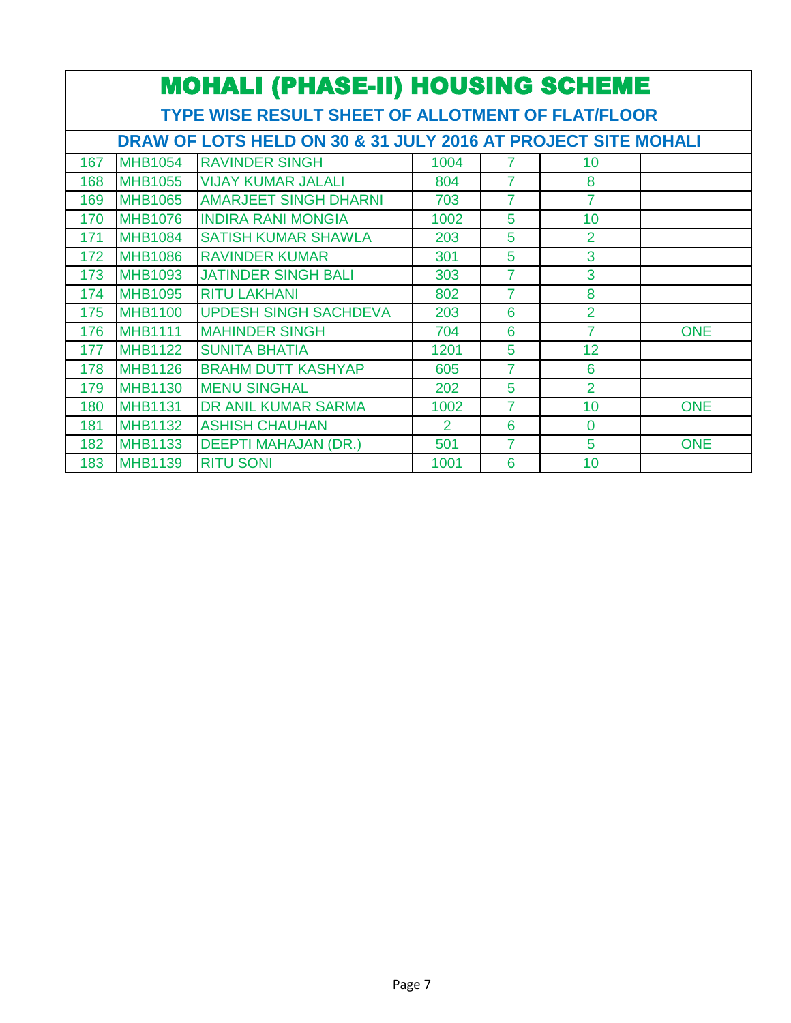|     | <b>MOHALI (PHASE-II) HOUSING SCHEME</b>                       |                              |                |                |                 |            |  |  |  |
|-----|---------------------------------------------------------------|------------------------------|----------------|----------------|-----------------|------------|--|--|--|
|     | <b>TYPE WISE RESULT SHEET OF ALLOTMENT OF FLAT/FLOOR</b>      |                              |                |                |                 |            |  |  |  |
|     | DRAW OF LOTS HELD ON 30 & 31 JULY 2016 AT PROJECT SITE MOHALI |                              |                |                |                 |            |  |  |  |
| 167 | <b>MHB1054</b>                                                | <b>RAVINDER SINGH</b>        | 1004           | 7              | 10 <sup>1</sup> |            |  |  |  |
| 168 | <b>MHB1055</b>                                                | <b>VIJAY KUMAR JALALI</b>    | 804            | $\overline{7}$ | 8               |            |  |  |  |
| 169 | <b>MHB1065</b>                                                | <b>AMARJEET SINGH DHARNI</b> | 703            | $\overline{7}$ | $\overline{7}$  |            |  |  |  |
| 170 | <b>MHB1076</b>                                                | <b>INDIRA RANI MONGIA</b>    | 1002           | 5              | 10 <sup>1</sup> |            |  |  |  |
| 171 | <b>MHB1084</b>                                                | <b>SATISH KUMAR SHAWLA</b>   | 203            | 5              | $\overline{2}$  |            |  |  |  |
| 172 | <b>MHB1086</b>                                                | <b>RAVINDER KUMAR</b>        | 301            | 5              | 3               |            |  |  |  |
| 173 | <b>MHB1093</b>                                                | <b>JATINDER SINGH BALI</b>   | 303            | 7              | 3               |            |  |  |  |
| 174 | <b>MHB1095</b>                                                | <b>RITU LAKHANI</b>          | 802            | 7              | 8               |            |  |  |  |
| 175 | <b>MHB1100</b>                                                | <b>UPDESH SINGH SACHDEVA</b> | 203            | 6              | $\overline{2}$  |            |  |  |  |
| 176 | <b>MHB1111</b>                                                | <b>MAHINDER SINGH</b>        | 704            | 6              | $\overline{7}$  | <b>ONE</b> |  |  |  |
| 177 | <b>MHB1122</b>                                                | <b>SUNITA BHATIA</b>         | 1201           | 5              | 12              |            |  |  |  |
| 178 | <b>MHB1126</b>                                                | <b>BRAHM DUTT KASHYAP</b>    | 605            | 7              | 6               |            |  |  |  |
| 179 | <b>MHB1130</b>                                                | <b>MENU SINGHAL</b>          | 202            | 5              | $\overline{2}$  |            |  |  |  |
| 180 | <b>MHB1131</b>                                                | <b>DR ANIL KUMAR SARMA</b>   | 1002           | 7              | 10              | <b>ONE</b> |  |  |  |
| 181 | <b>MHB1132</b>                                                | <b>ASHISH CHAUHAN</b>        | $\overline{2}$ | 6              | $\overline{0}$  |            |  |  |  |
| 182 | <b>MHB1133</b>                                                | <b>DEEPTI MAHAJAN (DR.)</b>  | 501            | $\overline{7}$ | 5               | <b>ONE</b> |  |  |  |
| 183 | <b>MHB1139</b>                                                | <b>RITU SONI</b>             | 1001           | 6              | 10              |            |  |  |  |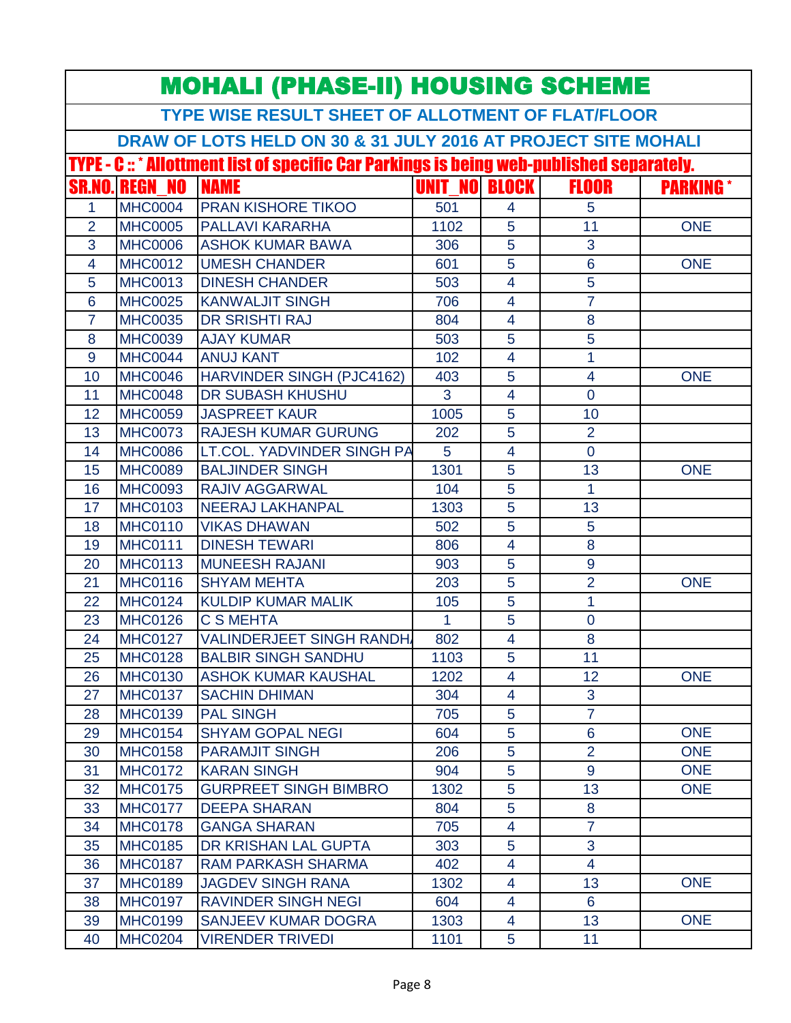| <b>MOHALI (PHASE-II) HOUSING SCHEME</b> |                                  |                                                                                                  |                      |                |                     |                  |  |
|-----------------------------------------|----------------------------------|--------------------------------------------------------------------------------------------------|----------------------|----------------|---------------------|------------------|--|
|                                         |                                  | TYPE WISE RESULT SHEET OF ALLOTMENT OF FLAT/FLOOR                                                |                      |                |                     |                  |  |
|                                         |                                  | DRAW OF LOTS HELD ON 30 & 31 JULY 2016 AT PROJECT SITE MOHALI                                    |                      |                |                     |                  |  |
|                                         |                                  | <b>TYPE - C :: * Allottment list of specific Car Parkings is being web-published separately.</b> |                      |                |                     |                  |  |
|                                         | <b>SR.NO. REGN NO</b>            | <b>NAME</b>                                                                                      | <b>UNIT NO BLOCK</b> |                | <b>FLOOR</b>        | <b>PARKING</b> * |  |
| 1                                       | <b>MHC0004</b>                   | <b>PRAN KISHORE TIKOO</b>                                                                        | 501                  | 4              | 5                   |                  |  |
| $\overline{2}$                          | <b>MHC0005</b>                   | <b>PALLAVI KARARHA</b>                                                                           | 1102                 | 5              | 11                  | <b>ONE</b>       |  |
| 3                                       | <b>MHC0006</b>                   | <b>ASHOK KUMAR BAWA</b>                                                                          | 306                  | 5              | 3                   |                  |  |
| 4                                       | <b>MHC0012</b>                   | <b>UMESH CHANDER</b>                                                                             | 601                  | 5              | $6\phantom{a}$      | <b>ONE</b>       |  |
| 5                                       | <b>MHC0013</b>                   | <b>DINESH CHANDER</b>                                                                            | 503                  | $\overline{4}$ | 5                   |                  |  |
| 6                                       | <b>MHC0025</b>                   | <b>KANWALJIT SINGH</b>                                                                           | 706                  | $\overline{4}$ | $\overline{7}$      |                  |  |
| $\overline{7}$                          | <b>MHC0035</b>                   | <b>DR SRISHTI RAJ</b>                                                                            | 804                  | $\overline{4}$ | 8                   |                  |  |
| 8                                       | <b>MHC0039</b>                   | <b>AJAY KUMAR</b>                                                                                | 503                  | 5              | 5                   |                  |  |
| 9                                       | <b>MHC0044</b>                   | <b>ANUJ KANT</b>                                                                                 | 102                  | 4              | 1                   |                  |  |
| 10                                      | <b>MHC0046</b>                   | HARVINDER SINGH (PJC4162)                                                                        | 403                  | 5              | 4                   | <b>ONE</b>       |  |
| 11                                      | <b>MHC0048</b>                   | <b>DR SUBASH KHUSHU</b>                                                                          | 3                    | $\overline{4}$ | $\overline{0}$      |                  |  |
| 12                                      | <b>MHC0059</b>                   | <b>JASPREET KAUR</b>                                                                             | 1005                 | 5              | 10                  |                  |  |
| 13                                      | <b>MHC0073</b>                   | <b>RAJESH KUMAR GURUNG</b>                                                                       | 202                  | 5              | $\overline{2}$      |                  |  |
| 14                                      | <b>MHC0086</b>                   | LT.COL. YADVINDER SINGH PA                                                                       | 5                    | $\overline{4}$ | $\overline{0}$      |                  |  |
| 15                                      | <b>MHC0089</b>                   | <b>BALJINDER SINGH</b>                                                                           | 1301                 | 5              | 13                  | <b>ONE</b>       |  |
| 16                                      | <b>MHC0093</b>                   | <b>RAJIV AGGARWAL</b>                                                                            | 104                  | 5              | 1                   |                  |  |
| 17                                      | <b>MHC0103</b>                   | <b>NEERAJ LAKHANPAL</b>                                                                          | 1303                 | 5              | 13                  |                  |  |
| 18                                      | <b>MHC0110</b>                   | <b>VIKAS DHAWAN</b>                                                                              | 502                  | 5              | 5                   |                  |  |
| 19                                      | <b>MHC0111</b>                   | <b>DINESH TEWARI</b>                                                                             | 806                  | $\overline{4}$ | 8                   |                  |  |
| 20                                      | <b>MHC0113</b>                   | <b>MUNEESH RAJANI</b>                                                                            | 903                  | 5              | 9                   |                  |  |
| 21                                      | <b>MHC0116</b>                   | <b>SHYAM MEHTA</b>                                                                               | 203                  | 5              | $\overline{2}$      | <b>ONE</b>       |  |
| 22                                      | <b>MHC0124</b>                   | <b>KULDIP KUMAR MALIK</b>                                                                        | 105                  | 5              | 1                   |                  |  |
| 23                                      | <b>MHC0126</b>                   | <b>C S MEHTA</b>                                                                                 | 1.                   | 5              | $\overline{0}$      |                  |  |
| 24                                      | <b>MHC0127</b>                   | <b>VALINDERJEET SINGH RANDH</b>                                                                  | 802                  | $\overline{4}$ | 8                   |                  |  |
| 25                                      | <b>MHC0128</b>                   | <b>BALBIR SINGH SANDHU</b>                                                                       | 1103                 | 5              | 11                  |                  |  |
| 26                                      | <b>MHC0130</b>                   | <b>ASHOK KUMAR KAUSHAL</b>                                                                       | 1202                 | 4              | 12 <sub>2</sub>     | <b>ONE</b>       |  |
| 27                                      | <b>MHC0137</b>                   | <b>SACHIN DHIMAN</b>                                                                             | 304                  | $\overline{4}$ | 3                   |                  |  |
| 28                                      | <b>MHC0139</b>                   | <b>PAL SINGH</b>                                                                                 | 705                  | 5              | $\overline{7}$      |                  |  |
| 29                                      | <b>MHC0154</b>                   | <b>SHYAM GOPAL NEGI</b>                                                                          | 604                  | 5              | 6                   | <b>ONE</b>       |  |
| 30                                      | <b>MHC0158</b>                   | <b>PARAMJIT SINGH</b>                                                                            | 206                  | 5              | $\overline{2}$      | <b>ONE</b>       |  |
| 31                                      | <b>MHC0172</b>                   | <b>KARAN SINGH</b>                                                                               | 904                  | 5              | $\overline{9}$      | <b>ONE</b>       |  |
| 32                                      | <b>MHC0175</b>                   | <b>GURPREET SINGH BIMBRO</b>                                                                     | 1302                 | 5              | 13                  | <b>ONE</b>       |  |
| 33                                      | <b>MHC0177</b>                   | <b>DEEPA SHARAN</b>                                                                              | 804                  | 5              | 8                   |                  |  |
| 34                                      | <b>MHC0178</b>                   | <b>GANGA SHARAN</b>                                                                              | 705                  | $\overline{4}$ | $\overline{7}$      |                  |  |
| 35                                      | <b>MHC0185</b>                   | DR KRISHAN LAL GUPTA                                                                             | 303                  | 5              | 3<br>$\overline{4}$ |                  |  |
| 36                                      | <b>MHC0187</b>                   | <b>RAM PARKASH SHARMA</b>                                                                        | 402                  | $\overline{4}$ | 13                  |                  |  |
| 37                                      | <b>MHC0189</b><br><b>MHC0197</b> | <b>JAGDEV SINGH RANA</b>                                                                         | 1302                 | 4              | $6\phantom{1}$      | <b>ONE</b>       |  |
| 38<br>39                                | <b>MHC0199</b>                   | <b>RAVINDER SINGH NEGI</b><br><b>SANJEEV KUMAR DOGRA</b>                                         | 604                  | 4              | 13                  | <b>ONE</b>       |  |
|                                         |                                  |                                                                                                  | 1303                 | 4              |                     |                  |  |
| 40                                      | <b>MHC0204</b>                   | <b>VIRENDER TRIVEDI</b>                                                                          | 1101                 | 5              | 11                  |                  |  |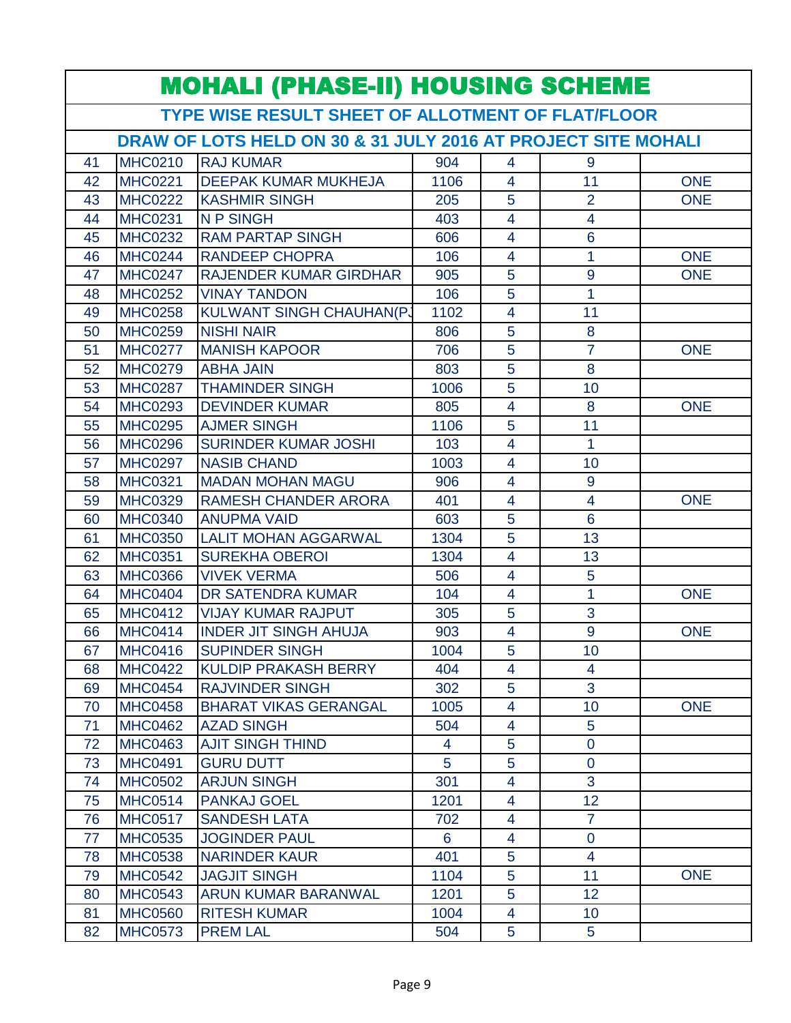| <b>MOHALI (PHASE-II) HOUSING SCHEME</b> |                                                   |                                                               |      |                          |                 |            |  |  |
|-----------------------------------------|---------------------------------------------------|---------------------------------------------------------------|------|--------------------------|-----------------|------------|--|--|
|                                         | TYPE WISE RESULT SHEET OF ALLOTMENT OF FLAT/FLOOR |                                                               |      |                          |                 |            |  |  |
|                                         |                                                   | DRAW OF LOTS HELD ON 30 & 31 JULY 2016 AT PROJECT SITE MOHALI |      |                          |                 |            |  |  |
| 41                                      | <b>MHC0210</b>                                    | <b>RAJ KUMAR</b>                                              | 904  | 4                        | 9               |            |  |  |
| 42                                      | <b>MHC0221</b>                                    | <b>DEEPAK KUMAR MUKHEJA</b>                                   | 1106 | $\overline{4}$           | 11              | <b>ONE</b> |  |  |
| 43                                      | <b>MHC0222</b>                                    | <b>KASHMIR SINGH</b>                                          | 205  | 5                        | $\overline{2}$  | <b>ONE</b> |  |  |
| 44                                      | <b>MHC0231</b>                                    | <b>NP SINGH</b>                                               | 403  | 4                        | 4               |            |  |  |
| 45                                      | <b>MHC0232</b>                                    | <b>RAM PARTAP SINGH</b>                                       | 606  | 4                        | $6\phantom{1}6$ |            |  |  |
| 46                                      | <b>MHC0244</b>                                    | <b>RANDEEP CHOPRA</b>                                         | 106  | 4                        | 1               | <b>ONE</b> |  |  |
| 47                                      | <b>MHC0247</b>                                    | RAJENDER KUMAR GIRDHAR                                        | 905  | 5                        | 9               | <b>ONE</b> |  |  |
| 48                                      | <b>MHC0252</b>                                    | <b>VINAY TANDON</b>                                           | 106  | $\overline{5}$           | $\overline{1}$  |            |  |  |
| 49                                      | <b>MHC0258</b>                                    | <b>KULWANT SINGH CHAUHAN(PJ</b>                               | 1102 | $\overline{4}$           | 11              |            |  |  |
| 50                                      | <b>MHC0259</b>                                    | <b>NISHI NAIR</b>                                             | 806  | 5                        | 8               |            |  |  |
| 51                                      | <b>MHC0277</b>                                    | <b>MANISH KAPOOR</b>                                          | 706  | 5                        | $\overline{7}$  | <b>ONE</b> |  |  |
| 52                                      | <b>MHC0279</b>                                    | <b>ABHA JAIN</b>                                              | 803  | 5                        | 8               |            |  |  |
| 53                                      | <b>MHC0287</b>                                    | <b>THAMINDER SINGH</b>                                        | 1006 | 5                        | 10              |            |  |  |
| 54                                      | <b>MHC0293</b>                                    | <b>DEVINDER KUMAR</b>                                         | 805  | $\overline{4}$           | 8               | <b>ONE</b> |  |  |
| 55                                      | <b>MHC0295</b>                                    | <b>AJMER SINGH</b>                                            | 1106 | 5                        | 11              |            |  |  |
| 56                                      | <b>MHC0296</b>                                    | <b>SURINDER KUMAR JOSHI</b>                                   | 103  | 4                        | 1               |            |  |  |
| 57                                      | <b>MHC0297</b>                                    | <b>NASIB CHAND</b>                                            | 1003 | 4                        | 10              |            |  |  |
| 58                                      | <b>MHC0321</b>                                    | <b>MADAN MOHAN MAGU</b>                                       | 906  | 4                        | 9               |            |  |  |
| 59                                      | <b>MHC0329</b>                                    | <b>RAMESH CHANDER ARORA</b>                                   | 401  | 4                        | $\overline{4}$  | <b>ONE</b> |  |  |
| 60                                      | <b>MHC0340</b>                                    | <b>ANUPMA VAID</b>                                            | 603  | 5                        | $6\phantom{a}$  |            |  |  |
| 61                                      | <b>MHC0350</b>                                    | <b>LALIT MOHAN AGGARWAL</b>                                   | 1304 | 5                        | 13              |            |  |  |
| 62                                      | <b>MHC0351</b>                                    | <b>SUREKHA OBEROI</b>                                         | 1304 | $\overline{4}$           | 13              |            |  |  |
| 63                                      | <b>MHC0366</b>                                    | <b>VIVEK VERMA</b>                                            | 506  | 4                        | 5               |            |  |  |
| 64                                      | <b>MHC0404</b>                                    | DR SATENDRA KUMAR                                             | 104  | 4                        | 1               | <b>ONE</b> |  |  |
| 65                                      | <b>MHC0412</b>                                    | <b>VIJAY KUMAR RAJPUT</b>                                     | 305  | 5                        | 3               |            |  |  |
| 66                                      | <b>MHC0414</b>                                    | <b>INDER JIT SINGH AHUJA</b>                                  | 903  | $\overline{\mathcal{A}}$ | 9               | <b>ONE</b> |  |  |
| 67                                      | <b>MHC0416</b>                                    | <b>SUPINDER SINGH</b>                                         | 1004 | $\overline{5}$           | 10              |            |  |  |
| 68                                      | <b>MHC0422</b>                                    | <b>KULDIP PRAKASH BERRY</b>                                   | 404  | $\overline{4}$           | 4               |            |  |  |
| 69                                      | <b>MHC0454</b>                                    | <b>RAJVINDER SINGH</b>                                        | 302  | 5                        | 3               |            |  |  |
| 70                                      | <b>MHC0458</b>                                    | <b>BHARAT VIKAS GERANGAL</b>                                  | 1005 | 4                        | 10              | <b>ONE</b> |  |  |
| 71                                      | <b>MHC0462</b>                                    | <b>AZAD SINGH</b>                                             | 504  | 4                        | 5               |            |  |  |
| 72                                      | <b>MHC0463</b>                                    | <b>AJIT SINGH THIND</b>                                       | 4    | 5                        | $\mathbf 0$     |            |  |  |
| 73                                      | <b>MHC0491</b>                                    | <b>GURU DUTT</b>                                              | 5    | 5                        | $\overline{0}$  |            |  |  |
| 74                                      | <b>MHC0502</b>                                    | <b>ARJUN SINGH</b>                                            | 301  | $\overline{4}$           | 3               |            |  |  |
| 75                                      | <b>MHC0514</b>                                    | <b>PANKAJ GOEL</b>                                            | 1201 | 4                        | 12 <sub>2</sub> |            |  |  |
| 76                                      | <b>MHC0517</b>                                    | <b>SANDESH LATA</b>                                           | 702  | 4                        | $\overline{7}$  |            |  |  |
| 77                                      | <b>MHC0535</b>                                    | <b>JOGINDER PAUL</b>                                          | 6    | 4                        | $\mathbf 0$     |            |  |  |
| 78                                      | <b>MHC0538</b>                                    | <b>NARINDER KAUR</b>                                          | 401  | 5                        | $\overline{4}$  |            |  |  |
| 79                                      | <b>MHC0542</b>                                    | <b>JAGJIT SINGH</b>                                           | 1104 | 5                        | 11              | <b>ONE</b> |  |  |
| 80                                      | <b>MHC0543</b>                                    | <b>ARUN KUMAR BARANWAL</b>                                    | 1201 | 5                        | 12              |            |  |  |
| 81                                      | <b>MHC0560</b>                                    | <b>RITESH KUMAR</b>                                           | 1004 | $\overline{4}$           | 10 <sup>°</sup> |            |  |  |
| 82                                      | <b>MHC0573</b>                                    | <b>PREM LAL</b>                                               | 504  | 5                        | 5 <sup>5</sup>  |            |  |  |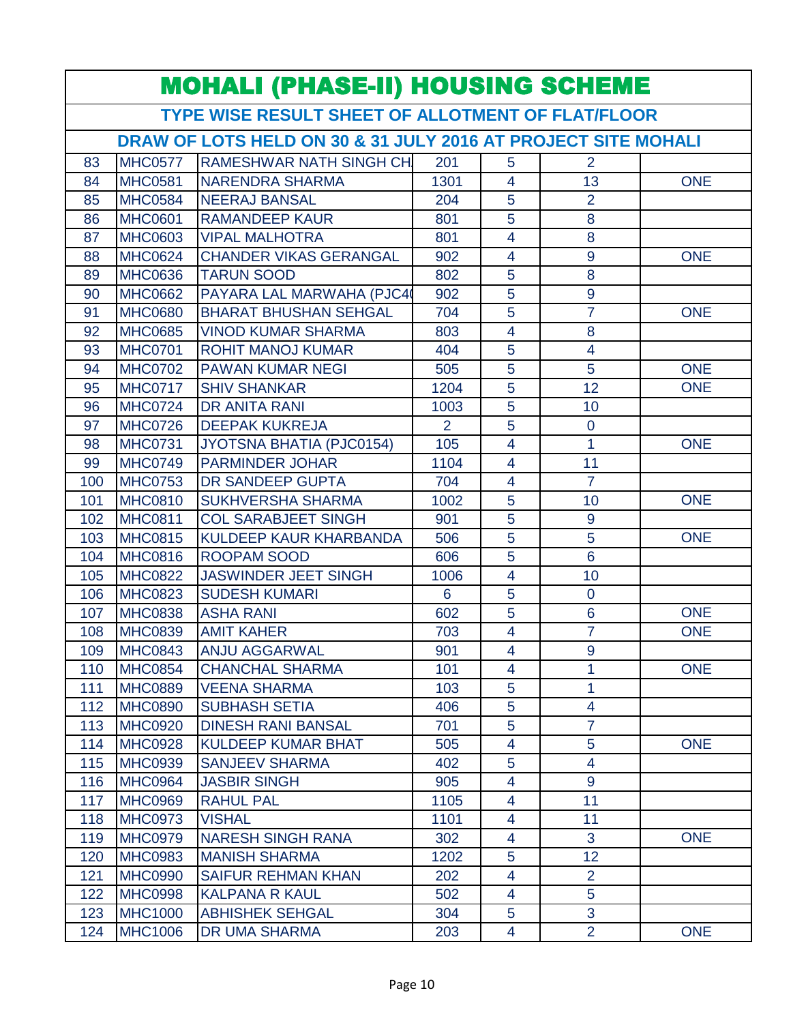|     | <b>MOHALI (PHASE-II) HOUSING SCHEME</b>                       |                                 |                |                         |                 |            |  |  |
|-----|---------------------------------------------------------------|---------------------------------|----------------|-------------------------|-----------------|------------|--|--|
|     | TYPE WISE RESULT SHEET OF ALLOTMENT OF FLAT/FLOOR             |                                 |                |                         |                 |            |  |  |
|     | DRAW OF LOTS HELD ON 30 & 31 JULY 2016 AT PROJECT SITE MOHALI |                                 |                |                         |                 |            |  |  |
| 83  | <b>MHC0577</b>                                                | <b>RAMESHWAR NATH SINGH CH</b>  | 201            | 5                       | $\overline{2}$  |            |  |  |
| 84  | <b>MHC0581</b>                                                | <b>NARENDRA SHARMA</b>          | 1301           | 4                       | 13              | <b>ONE</b> |  |  |
| 85  | <b>MHC0584</b>                                                | <b>NEERAJ BANSAL</b>            | 204            | 5                       | $\overline{2}$  |            |  |  |
| 86  | <b>MHC0601</b>                                                | <b>RAMANDEEP KAUR</b>           | 801            | 5                       | 8               |            |  |  |
| 87  | <b>MHC0603</b>                                                | <b>VIPAL MALHOTRA</b>           | 801            | $\overline{4}$          | 8               |            |  |  |
| 88  | <b>MHC0624</b>                                                | <b>CHANDER VIKAS GERANGAL</b>   | 902            | $\overline{\mathbf{4}}$ | 9               | <b>ONE</b> |  |  |
| 89  | <b>MHC0636</b>                                                | <b>TARUN SOOD</b>               | 802            | 5                       | 8               |            |  |  |
| 90  | <b>MHC0662</b>                                                | PAYARA LAL MARWAHA (PJC4        | 902            | 5                       | $\overline{9}$  |            |  |  |
| 91  | <b>MHC0680</b>                                                | <b>BHARAT BHUSHAN SEHGAL</b>    | 704            | 5                       | $\overline{7}$  | <b>ONE</b> |  |  |
| 92  | <b>MHC0685</b>                                                | <b>VINOD KUMAR SHARMA</b>       | 803            | 4                       | 8               |            |  |  |
| 93  | <b>MHC0701</b>                                                | <b>ROHIT MANOJ KUMAR</b>        | 404            | 5                       | $\overline{4}$  |            |  |  |
| 94  | <b>MHC0702</b>                                                | <b>PAWAN KUMAR NEGI</b>         | 505            | 5                       | 5               | <b>ONE</b> |  |  |
| 95  | <b>MHC0717</b>                                                | <b>SHIV SHANKAR</b>             | 1204           | 5                       | 12              | <b>ONE</b> |  |  |
| 96  | <b>MHC0724</b>                                                | <b>DR ANITA RANI</b>            | 1003           | 5                       | 10              |            |  |  |
| 97  | <b>MHC0726</b>                                                | <b>DEEPAK KUKREJA</b>           | $\overline{2}$ | 5                       | $\overline{0}$  |            |  |  |
| 98  | <b>MHC0731</b>                                                | <b>JYOTSNA BHATIA (PJC0154)</b> | 105            | $\overline{4}$          | 1               | <b>ONE</b> |  |  |
| 99  | <b>MHC0749</b>                                                | <b>PARMINDER JOHAR</b>          | 1104           | 4                       | 11              |            |  |  |
| 100 | <b>MHC0753</b>                                                | DR SANDEEP GUPTA                | 704            | 4                       | $\overline{7}$  |            |  |  |
| 101 | <b>MHC0810</b>                                                | <b>SUKHVERSHA SHARMA</b>        | 1002           | 5                       | 10              | <b>ONE</b> |  |  |
| 102 | <b>MHC0811</b>                                                | <b>COL SARABJEET SINGH</b>      | 901            | $\overline{5}$          | 9               |            |  |  |
| 103 | <b>MHC0815</b>                                                | KULDEEP KAUR KHARBANDA          | 506            | 5                       | 5               | <b>ONE</b> |  |  |
| 104 | <b>MHC0816</b>                                                | <b>ROOPAM SOOD</b>              | 606            | 5                       | $6\phantom{1}6$ |            |  |  |
| 105 | <b>MHC0822</b>                                                | <b>JASWINDER JEET SINGH</b>     | 1006           | 4                       | 10              |            |  |  |
| 106 | <b>MHC0823</b>                                                | <b>SUDESH KUMARI</b>            | 6              | 5                       | $\overline{0}$  |            |  |  |
| 107 | <b>MHC0838</b>                                                | <b>ASHA RANI</b>                | 602            | 5                       | $6\phantom{1}6$ | <b>ONE</b> |  |  |
| 108 | <b>MHC0839</b>                                                | <b>AMIT KAHER</b>               | 703            | 4                       | $\overline{7}$  | <b>ONE</b> |  |  |
| 109 | <b>MHC0843</b>                                                | <b>ANJU AGGARWAL</b>            | 901            | $\overline{\mathbf{4}}$ | 9               |            |  |  |
| 110 | <b>MHC0854</b>                                                | <b>CHANCHAL SHARMA</b>          | 101            | 4                       | 1               | <b>ONE</b> |  |  |
| 111 | <b>MHC0889</b>                                                | <b>VEENA SHARMA</b>             | 103            | 5                       | 1               |            |  |  |
| 112 | <b>MHC0890</b>                                                | <b>SUBHASH SETIA</b>            | 406            | 5                       | 4               |            |  |  |
| 113 | <b>MHC0920</b>                                                | <b>DINESH RANI BANSAL</b>       | 701            | 5                       | $\overline{7}$  |            |  |  |
| 114 | <b>MHC0928</b>                                                | <b>KULDEEP KUMAR BHAT</b>       | 505            | 4                       | 5               | <b>ONE</b> |  |  |
| 115 | <b>MHC0939</b>                                                | <b>SANJEEV SHARMA</b>           | 402            | 5                       | $\overline{4}$  |            |  |  |
| 116 | <b>MHC0964</b>                                                | <b>JASBIR SINGH</b>             | 905            | 4                       | 9               |            |  |  |
| 117 | <b>MHC0969</b>                                                | <b>RAHUL PAL</b>                | 1105           | 4                       | 11              |            |  |  |
| 118 | <b>MHC0973</b>                                                | <b>VISHAL</b>                   | 1101           | 4                       | 11              |            |  |  |
| 119 | <b>MHC0979</b>                                                | <b>NARESH SINGH RANA</b>        | 302            | 4                       | 3               | <b>ONE</b> |  |  |
| 120 | <b>MHC0983</b>                                                | <b>MANISH SHARMA</b>            | 1202           | 5                       | 12              |            |  |  |
| 121 | <b>MHC0990</b>                                                | <b>SAIFUR REHMAN KHAN</b>       | 202            | 4                       | $\overline{2}$  |            |  |  |
| 122 | <b>MHC0998</b>                                                | <b>KALPANA R KAUL</b>           | 502            | 4                       | 5               |            |  |  |
| 123 | <b>MHC1000</b>                                                | <b>ABHISHEK SEHGAL</b>          | 304            | 5                       | 3               |            |  |  |
| 124 | <b>MHC1006</b>                                                | DR UMA SHARMA                   | 203            | 4                       | $\overline{2}$  | <b>ONE</b> |  |  |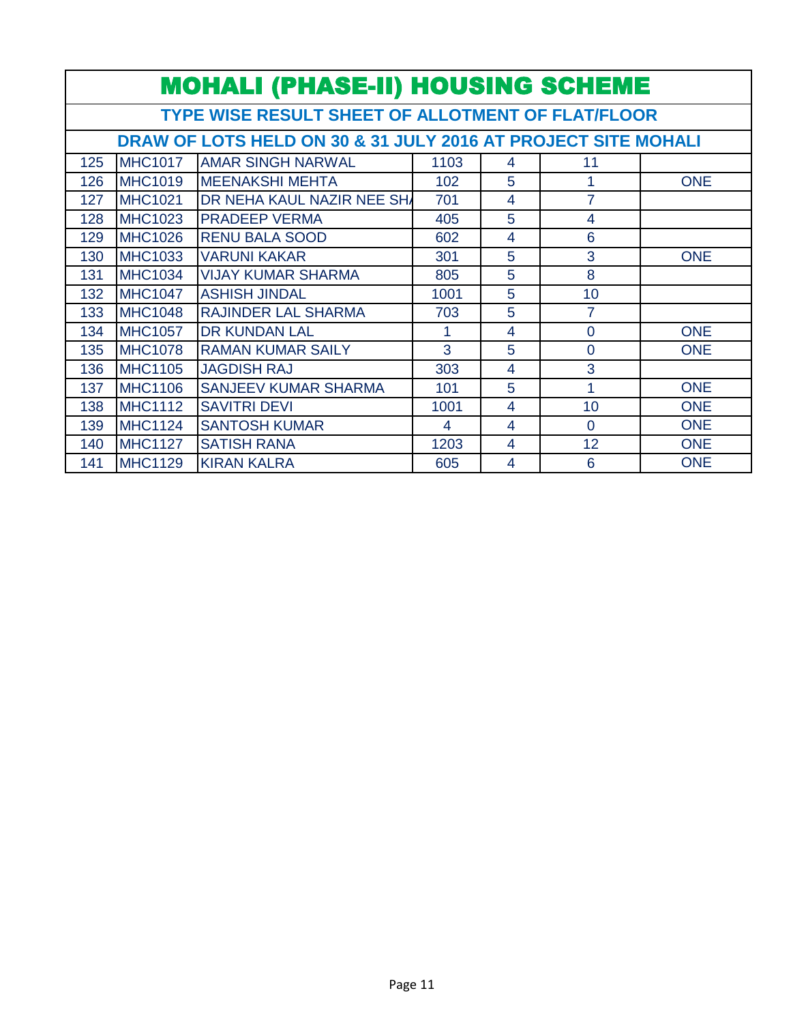|     | <b>MOHALI (PHASE-II) HOUSING SCHEME</b>                       |                                                          |      |   |                |            |  |  |  |
|-----|---------------------------------------------------------------|----------------------------------------------------------|------|---|----------------|------------|--|--|--|
|     |                                                               | <b>TYPE WISE RESULT SHEET OF ALLOTMENT OF FLAT/FLOOR</b> |      |   |                |            |  |  |  |
|     | DRAW OF LOTS HELD ON 30 & 31 JULY 2016 AT PROJECT SITE MOHALI |                                                          |      |   |                |            |  |  |  |
| 125 | <b>MHC1017</b>                                                | <b>AMAR SINGH NARWAL</b>                                 | 1103 | 4 | 11             |            |  |  |  |
| 126 | <b>MHC1019</b>                                                | <b>MEENAKSHI MEHTA</b>                                   | 102  | 5 | 1              | <b>ONE</b> |  |  |  |
| 127 | <b>MHC1021</b>                                                | <b>DR NEHA KAUL NAZIR NEE SHA</b>                        | 701  | 4 | 7              |            |  |  |  |
| 128 | <b>MHC1023</b>                                                | <b>PRADEEP VERMA</b>                                     | 405  | 5 | 4              |            |  |  |  |
| 129 | <b>MHC1026</b>                                                | <b>RENU BALA SOOD</b>                                    | 602  | 4 | 6              |            |  |  |  |
| 130 | <b>MHC1033</b>                                                | <b>VARUNI KAKAR</b>                                      | 301  | 5 | 3              | <b>ONE</b> |  |  |  |
| 131 | <b>MHC1034</b>                                                | <b>VIJAY KUMAR SHARMA</b>                                | 805  | 5 | 8              |            |  |  |  |
| 132 | <b>MHC1047</b>                                                | <b>ASHISH JINDAL</b>                                     | 1001 | 5 | 10             |            |  |  |  |
| 133 | <b>MHC1048</b>                                                | <b>RAJINDER LAL SHARMA</b>                               | 703  | 5 | 7              |            |  |  |  |
| 134 | <b>MHC1057</b>                                                | <b>DR KUNDAN LAL</b>                                     | 1    | 4 | $\overline{0}$ | <b>ONE</b> |  |  |  |
| 135 | <b>MHC1078</b>                                                | <b>RAMAN KUMAR SAILY</b>                                 | 3    | 5 | $\overline{0}$ | <b>ONE</b> |  |  |  |
| 136 | <b>MHC1105</b>                                                | <b>JAGDISH RAJ</b>                                       | 303  | 4 | 3              |            |  |  |  |
| 137 | <b>MHC1106</b>                                                | SANJEEV KUMAR SHARMA                                     | 101  | 5 | 1              | <b>ONE</b> |  |  |  |
| 138 | <b>MHC1112</b>                                                | <b>SAVITRI DEVI</b>                                      | 1001 | 4 | 10             | <b>ONE</b> |  |  |  |
| 139 | <b>MHC1124</b>                                                | <b>SANTOSH KUMAR</b>                                     | 4    | 4 | $\Omega$       | <b>ONE</b> |  |  |  |
| 140 | <b>MHC1127</b>                                                | <b>SATISH RANA</b>                                       | 1203 | 4 | 12             | <b>ONE</b> |  |  |  |
| 141 | <b>MHC1129</b>                                                | <b>KIRAN KALRA</b>                                       | 605  | 4 | 6              | <b>ONE</b> |  |  |  |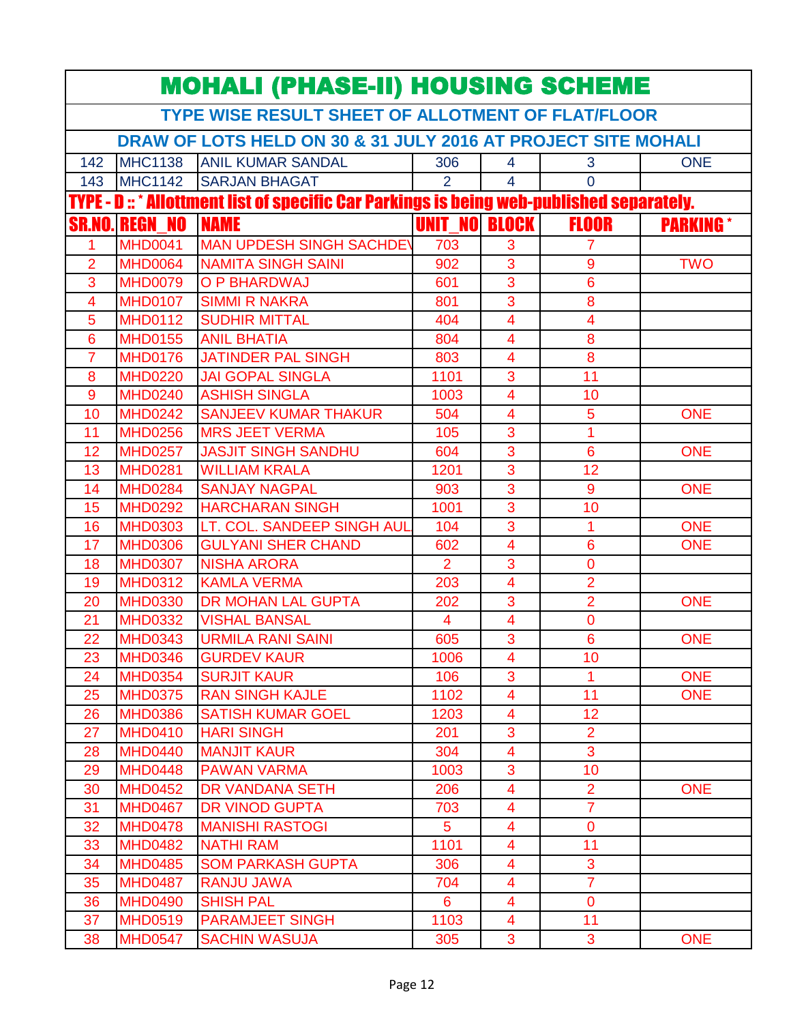| TYPE WISE RESULT SHEET OF ALLOTMENT OF FLAT/FLOOR<br>DRAW OF LOTS HELD ON 30 & 31 JULY 2016 AT PROJECT SITE MOHALI<br><b>MHC1138</b><br><b>ANIL KUMAR SANDAL</b><br>306<br>3<br><b>ONE</b><br>142<br>4<br><b>MHC1142</b><br><b>SARJAN BHAGAT</b><br>$\overline{2}$<br>$\overline{4}$<br>$\overline{0}$<br>143<br>TYPE - D :: * Allottment list of specific Car Parkings is being web-published separately.<br><b>UNIT NO</b><br><b>FLOOR</b><br><b>NAME</b><br><b>BLOCK</b><br><b>REGN NO</b><br><b>PARKING</b> *<br><b>SR.NO</b><br><b>MAN UPDESH SINGH SACHDEV</b><br><b>MHD0041</b><br>703<br>3<br>1<br>7<br>$\overline{3}$<br><b>NAMITA SINGH SAINI</b><br>$\overline{2}$<br><b>MHD0064</b><br>902<br>9<br><b>TWO</b><br><b>MHD0079</b><br>O P BHARDWAJ<br>3<br>6<br>3<br>601<br>8<br>3<br>4<br><b>MHD0107</b><br><b>SIMMI R NAKRA</b><br>801<br>5<br><b>MHD0112</b><br><b>SUDHIR MITTAL</b><br>$\overline{4}$<br>4<br>404<br><b>ANIL BHATIA</b><br><b>MHD0155</b><br>8<br>6<br>804<br>$\overline{4}$<br>8<br><b>MHD0176</b><br><b>JATINDER PAL SINGH</b><br>7<br>803<br>$\overline{4}$<br>$\overline{11}$<br><b>JAI GOPAL SINGLA</b><br>3<br><b>MHD0220</b><br>1101<br>8<br><b>ASHISH SINGLA</b><br><b>MHD0240</b><br>1003<br>$\overline{\mathbf{4}}$<br>10<br>9<br>5<br><b>MHD0242</b><br><b>SANJEEV KUMAR THAKUR</b><br>$\overline{4}$<br><b>ONE</b><br>10<br>504<br>3<br>1<br>11<br><b>MHD0256</b><br><b>MRS JEET VERMA</b><br>105<br>3<br>6<br>12<br><b>MHD0257</b><br><b>JASJIT SINGH SANDHU</b><br>604<br><b>ONE</b><br>3<br>12<br>13<br><b>MHD0281</b><br><b>WILLIAM KRALA</b><br>1201<br>$\overline{3}$<br>9<br><b>ONE</b><br><b>MHD0284</b><br><b>SANJAY NAGPAL</b><br>14<br>903<br>3<br><b>MHD0292</b><br><b>HARCHARAN SINGH</b><br>15<br>1001<br>10<br>$\overline{3}$<br><b>ONE</b><br><b>MHD0303</b><br>LT. COL. SANDEEP SINGH AUL<br>$\overline{1}$<br>16<br>104<br><b>GULYANI SHER CHAND</b><br><b>MHD0306</b><br><b>ONE</b><br>17<br>602<br>$\overline{4}$<br>6<br>$\overline{2}$<br>3<br><b>MHD0307</b><br><b>NISHA ARORA</b><br>0<br>18<br>$\overline{2}$<br>$\overline{4}$<br><b>MHD0312</b><br><b>KAMLA VERMA</b><br>203<br>19<br>$\overline{2}$<br><b>MHD0330</b><br><b>DR MOHAN LAL GUPTA</b><br>3<br><b>ONE</b><br>20<br>202<br><b>MHD0332</b><br><b>VISHAL BANSAL</b><br>4<br>0<br>21<br>$\overline{4}$<br>3<br>22<br>6<br><b>ONE</b><br><b>MHD0343</b><br><b>URMILA RANI SAINI</b><br>605<br><b>MHD0346</b><br><b>GURDEV KAUR</b><br>1006<br>10<br>23<br>4<br>3<br><b>ONE</b><br><b>MHD0354</b><br><b>SURJIT KAUR</b><br>106<br>$\mathbf{1}$<br>24<br>11<br>25<br><b>MHD0375</b><br><b>RAN SINGH KAJLE</b><br>1102<br><b>ONE</b><br>$\overline{4}$<br><b>SATISH KUMAR GOEL</b><br>12<br><b>MHD0386</b><br>1203<br>$\overline{\mathbf{4}}$<br>26<br>$\overline{2}$<br><b>MHD0410</b><br><b>HARI SINGH</b><br>3<br>27<br>201<br>3<br><b>MHD0440</b><br><b>MANJIT KAUR</b><br>28<br>304<br>4<br><b>MHD0448</b><br><b>PAWAN VARMA</b><br>3<br>10<br>29<br>1003<br>$\overline{2}$<br><b>MHD0452</b><br>DR VANDANA SETH<br>$\overline{\mathbf{4}}$<br><b>ONE</b><br>30<br>206<br><b>DR VINOD GUPTA</b><br>$\overline{7}$<br><b>MHD0467</b><br>31<br>703<br>4<br>5 <sup>5</sup><br><b>MHD0478</b><br><b>MANISHI RASTOGI</b><br>32<br>$\overline{\mathbf{4}}$<br>$\overline{0}$ |    |                | <b>MOHALI (PHASE-II) HOUSING SCHEME</b> |      |                |    |  |
|------------------------------------------------------------------------------------------------------------------------------------------------------------------------------------------------------------------------------------------------------------------------------------------------------------------------------------------------------------------------------------------------------------------------------------------------------------------------------------------------------------------------------------------------------------------------------------------------------------------------------------------------------------------------------------------------------------------------------------------------------------------------------------------------------------------------------------------------------------------------------------------------------------------------------------------------------------------------------------------------------------------------------------------------------------------------------------------------------------------------------------------------------------------------------------------------------------------------------------------------------------------------------------------------------------------------------------------------------------------------------------------------------------------------------------------------------------------------------------------------------------------------------------------------------------------------------------------------------------------------------------------------------------------------------------------------------------------------------------------------------------------------------------------------------------------------------------------------------------------------------------------------------------------------------------------------------------------------------------------------------------------------------------------------------------------------------------------------------------------------------------------------------------------------------------------------------------------------------------------------------------------------------------------------------------------------------------------------------------------------------------------------------------------------------------------------------------------------------------------------------------------------------------------------------------------------------------------------------------------------------------------------------------------------------------------------------------------------------------------------------------------------------------------------------------------------------------------------------------------------------------------------------------------------------------------------------------------------------------------------------------------------------------------------------------------------------------------------------------------------------------------------------------------------------------------------------------------------------------------------------------------------------------------------------|----|----------------|-----------------------------------------|------|----------------|----|--|
|                                                                                                                                                                                                                                                                                                                                                                                                                                                                                                                                                                                                                                                                                                                                                                                                                                                                                                                                                                                                                                                                                                                                                                                                                                                                                                                                                                                                                                                                                                                                                                                                                                                                                                                                                                                                                                                                                                                                                                                                                                                                                                                                                                                                                                                                                                                                                                                                                                                                                                                                                                                                                                                                                                                                                                                                                                                                                                                                                                                                                                                                                                                                                                                                                                                                                                      |    |                |                                         |      |                |    |  |
|                                                                                                                                                                                                                                                                                                                                                                                                                                                                                                                                                                                                                                                                                                                                                                                                                                                                                                                                                                                                                                                                                                                                                                                                                                                                                                                                                                                                                                                                                                                                                                                                                                                                                                                                                                                                                                                                                                                                                                                                                                                                                                                                                                                                                                                                                                                                                                                                                                                                                                                                                                                                                                                                                                                                                                                                                                                                                                                                                                                                                                                                                                                                                                                                                                                                                                      |    |                |                                         |      |                |    |  |
|                                                                                                                                                                                                                                                                                                                                                                                                                                                                                                                                                                                                                                                                                                                                                                                                                                                                                                                                                                                                                                                                                                                                                                                                                                                                                                                                                                                                                                                                                                                                                                                                                                                                                                                                                                                                                                                                                                                                                                                                                                                                                                                                                                                                                                                                                                                                                                                                                                                                                                                                                                                                                                                                                                                                                                                                                                                                                                                                                                                                                                                                                                                                                                                                                                                                                                      |    |                |                                         |      |                |    |  |
|                                                                                                                                                                                                                                                                                                                                                                                                                                                                                                                                                                                                                                                                                                                                                                                                                                                                                                                                                                                                                                                                                                                                                                                                                                                                                                                                                                                                                                                                                                                                                                                                                                                                                                                                                                                                                                                                                                                                                                                                                                                                                                                                                                                                                                                                                                                                                                                                                                                                                                                                                                                                                                                                                                                                                                                                                                                                                                                                                                                                                                                                                                                                                                                                                                                                                                      |    |                |                                         |      |                |    |  |
|                                                                                                                                                                                                                                                                                                                                                                                                                                                                                                                                                                                                                                                                                                                                                                                                                                                                                                                                                                                                                                                                                                                                                                                                                                                                                                                                                                                                                                                                                                                                                                                                                                                                                                                                                                                                                                                                                                                                                                                                                                                                                                                                                                                                                                                                                                                                                                                                                                                                                                                                                                                                                                                                                                                                                                                                                                                                                                                                                                                                                                                                                                                                                                                                                                                                                                      |    |                |                                         |      |                |    |  |
|                                                                                                                                                                                                                                                                                                                                                                                                                                                                                                                                                                                                                                                                                                                                                                                                                                                                                                                                                                                                                                                                                                                                                                                                                                                                                                                                                                                                                                                                                                                                                                                                                                                                                                                                                                                                                                                                                                                                                                                                                                                                                                                                                                                                                                                                                                                                                                                                                                                                                                                                                                                                                                                                                                                                                                                                                                                                                                                                                                                                                                                                                                                                                                                                                                                                                                      |    |                |                                         |      |                |    |  |
|                                                                                                                                                                                                                                                                                                                                                                                                                                                                                                                                                                                                                                                                                                                                                                                                                                                                                                                                                                                                                                                                                                                                                                                                                                                                                                                                                                                                                                                                                                                                                                                                                                                                                                                                                                                                                                                                                                                                                                                                                                                                                                                                                                                                                                                                                                                                                                                                                                                                                                                                                                                                                                                                                                                                                                                                                                                                                                                                                                                                                                                                                                                                                                                                                                                                                                      |    |                |                                         |      |                |    |  |
|                                                                                                                                                                                                                                                                                                                                                                                                                                                                                                                                                                                                                                                                                                                                                                                                                                                                                                                                                                                                                                                                                                                                                                                                                                                                                                                                                                                                                                                                                                                                                                                                                                                                                                                                                                                                                                                                                                                                                                                                                                                                                                                                                                                                                                                                                                                                                                                                                                                                                                                                                                                                                                                                                                                                                                                                                                                                                                                                                                                                                                                                                                                                                                                                                                                                                                      |    |                |                                         |      |                |    |  |
|                                                                                                                                                                                                                                                                                                                                                                                                                                                                                                                                                                                                                                                                                                                                                                                                                                                                                                                                                                                                                                                                                                                                                                                                                                                                                                                                                                                                                                                                                                                                                                                                                                                                                                                                                                                                                                                                                                                                                                                                                                                                                                                                                                                                                                                                                                                                                                                                                                                                                                                                                                                                                                                                                                                                                                                                                                                                                                                                                                                                                                                                                                                                                                                                                                                                                                      |    |                |                                         |      |                |    |  |
|                                                                                                                                                                                                                                                                                                                                                                                                                                                                                                                                                                                                                                                                                                                                                                                                                                                                                                                                                                                                                                                                                                                                                                                                                                                                                                                                                                                                                                                                                                                                                                                                                                                                                                                                                                                                                                                                                                                                                                                                                                                                                                                                                                                                                                                                                                                                                                                                                                                                                                                                                                                                                                                                                                                                                                                                                                                                                                                                                                                                                                                                                                                                                                                                                                                                                                      |    |                |                                         |      |                |    |  |
|                                                                                                                                                                                                                                                                                                                                                                                                                                                                                                                                                                                                                                                                                                                                                                                                                                                                                                                                                                                                                                                                                                                                                                                                                                                                                                                                                                                                                                                                                                                                                                                                                                                                                                                                                                                                                                                                                                                                                                                                                                                                                                                                                                                                                                                                                                                                                                                                                                                                                                                                                                                                                                                                                                                                                                                                                                                                                                                                                                                                                                                                                                                                                                                                                                                                                                      |    |                |                                         |      |                |    |  |
|                                                                                                                                                                                                                                                                                                                                                                                                                                                                                                                                                                                                                                                                                                                                                                                                                                                                                                                                                                                                                                                                                                                                                                                                                                                                                                                                                                                                                                                                                                                                                                                                                                                                                                                                                                                                                                                                                                                                                                                                                                                                                                                                                                                                                                                                                                                                                                                                                                                                                                                                                                                                                                                                                                                                                                                                                                                                                                                                                                                                                                                                                                                                                                                                                                                                                                      |    |                |                                         |      |                |    |  |
|                                                                                                                                                                                                                                                                                                                                                                                                                                                                                                                                                                                                                                                                                                                                                                                                                                                                                                                                                                                                                                                                                                                                                                                                                                                                                                                                                                                                                                                                                                                                                                                                                                                                                                                                                                                                                                                                                                                                                                                                                                                                                                                                                                                                                                                                                                                                                                                                                                                                                                                                                                                                                                                                                                                                                                                                                                                                                                                                                                                                                                                                                                                                                                                                                                                                                                      |    |                |                                         |      |                |    |  |
|                                                                                                                                                                                                                                                                                                                                                                                                                                                                                                                                                                                                                                                                                                                                                                                                                                                                                                                                                                                                                                                                                                                                                                                                                                                                                                                                                                                                                                                                                                                                                                                                                                                                                                                                                                                                                                                                                                                                                                                                                                                                                                                                                                                                                                                                                                                                                                                                                                                                                                                                                                                                                                                                                                                                                                                                                                                                                                                                                                                                                                                                                                                                                                                                                                                                                                      |    |                |                                         |      |                |    |  |
|                                                                                                                                                                                                                                                                                                                                                                                                                                                                                                                                                                                                                                                                                                                                                                                                                                                                                                                                                                                                                                                                                                                                                                                                                                                                                                                                                                                                                                                                                                                                                                                                                                                                                                                                                                                                                                                                                                                                                                                                                                                                                                                                                                                                                                                                                                                                                                                                                                                                                                                                                                                                                                                                                                                                                                                                                                                                                                                                                                                                                                                                                                                                                                                                                                                                                                      |    |                |                                         |      |                |    |  |
|                                                                                                                                                                                                                                                                                                                                                                                                                                                                                                                                                                                                                                                                                                                                                                                                                                                                                                                                                                                                                                                                                                                                                                                                                                                                                                                                                                                                                                                                                                                                                                                                                                                                                                                                                                                                                                                                                                                                                                                                                                                                                                                                                                                                                                                                                                                                                                                                                                                                                                                                                                                                                                                                                                                                                                                                                                                                                                                                                                                                                                                                                                                                                                                                                                                                                                      |    |                |                                         |      |                |    |  |
|                                                                                                                                                                                                                                                                                                                                                                                                                                                                                                                                                                                                                                                                                                                                                                                                                                                                                                                                                                                                                                                                                                                                                                                                                                                                                                                                                                                                                                                                                                                                                                                                                                                                                                                                                                                                                                                                                                                                                                                                                                                                                                                                                                                                                                                                                                                                                                                                                                                                                                                                                                                                                                                                                                                                                                                                                                                                                                                                                                                                                                                                                                                                                                                                                                                                                                      |    |                |                                         |      |                |    |  |
|                                                                                                                                                                                                                                                                                                                                                                                                                                                                                                                                                                                                                                                                                                                                                                                                                                                                                                                                                                                                                                                                                                                                                                                                                                                                                                                                                                                                                                                                                                                                                                                                                                                                                                                                                                                                                                                                                                                                                                                                                                                                                                                                                                                                                                                                                                                                                                                                                                                                                                                                                                                                                                                                                                                                                                                                                                                                                                                                                                                                                                                                                                                                                                                                                                                                                                      |    |                |                                         |      |                |    |  |
|                                                                                                                                                                                                                                                                                                                                                                                                                                                                                                                                                                                                                                                                                                                                                                                                                                                                                                                                                                                                                                                                                                                                                                                                                                                                                                                                                                                                                                                                                                                                                                                                                                                                                                                                                                                                                                                                                                                                                                                                                                                                                                                                                                                                                                                                                                                                                                                                                                                                                                                                                                                                                                                                                                                                                                                                                                                                                                                                                                                                                                                                                                                                                                                                                                                                                                      |    |                |                                         |      |                |    |  |
|                                                                                                                                                                                                                                                                                                                                                                                                                                                                                                                                                                                                                                                                                                                                                                                                                                                                                                                                                                                                                                                                                                                                                                                                                                                                                                                                                                                                                                                                                                                                                                                                                                                                                                                                                                                                                                                                                                                                                                                                                                                                                                                                                                                                                                                                                                                                                                                                                                                                                                                                                                                                                                                                                                                                                                                                                                                                                                                                                                                                                                                                                                                                                                                                                                                                                                      |    |                |                                         |      |                |    |  |
|                                                                                                                                                                                                                                                                                                                                                                                                                                                                                                                                                                                                                                                                                                                                                                                                                                                                                                                                                                                                                                                                                                                                                                                                                                                                                                                                                                                                                                                                                                                                                                                                                                                                                                                                                                                                                                                                                                                                                                                                                                                                                                                                                                                                                                                                                                                                                                                                                                                                                                                                                                                                                                                                                                                                                                                                                                                                                                                                                                                                                                                                                                                                                                                                                                                                                                      |    |                |                                         |      |                |    |  |
|                                                                                                                                                                                                                                                                                                                                                                                                                                                                                                                                                                                                                                                                                                                                                                                                                                                                                                                                                                                                                                                                                                                                                                                                                                                                                                                                                                                                                                                                                                                                                                                                                                                                                                                                                                                                                                                                                                                                                                                                                                                                                                                                                                                                                                                                                                                                                                                                                                                                                                                                                                                                                                                                                                                                                                                                                                                                                                                                                                                                                                                                                                                                                                                                                                                                                                      |    |                |                                         |      |                |    |  |
|                                                                                                                                                                                                                                                                                                                                                                                                                                                                                                                                                                                                                                                                                                                                                                                                                                                                                                                                                                                                                                                                                                                                                                                                                                                                                                                                                                                                                                                                                                                                                                                                                                                                                                                                                                                                                                                                                                                                                                                                                                                                                                                                                                                                                                                                                                                                                                                                                                                                                                                                                                                                                                                                                                                                                                                                                                                                                                                                                                                                                                                                                                                                                                                                                                                                                                      |    |                |                                         |      |                |    |  |
|                                                                                                                                                                                                                                                                                                                                                                                                                                                                                                                                                                                                                                                                                                                                                                                                                                                                                                                                                                                                                                                                                                                                                                                                                                                                                                                                                                                                                                                                                                                                                                                                                                                                                                                                                                                                                                                                                                                                                                                                                                                                                                                                                                                                                                                                                                                                                                                                                                                                                                                                                                                                                                                                                                                                                                                                                                                                                                                                                                                                                                                                                                                                                                                                                                                                                                      |    |                |                                         |      |                |    |  |
|                                                                                                                                                                                                                                                                                                                                                                                                                                                                                                                                                                                                                                                                                                                                                                                                                                                                                                                                                                                                                                                                                                                                                                                                                                                                                                                                                                                                                                                                                                                                                                                                                                                                                                                                                                                                                                                                                                                                                                                                                                                                                                                                                                                                                                                                                                                                                                                                                                                                                                                                                                                                                                                                                                                                                                                                                                                                                                                                                                                                                                                                                                                                                                                                                                                                                                      |    |                |                                         |      |                |    |  |
|                                                                                                                                                                                                                                                                                                                                                                                                                                                                                                                                                                                                                                                                                                                                                                                                                                                                                                                                                                                                                                                                                                                                                                                                                                                                                                                                                                                                                                                                                                                                                                                                                                                                                                                                                                                                                                                                                                                                                                                                                                                                                                                                                                                                                                                                                                                                                                                                                                                                                                                                                                                                                                                                                                                                                                                                                                                                                                                                                                                                                                                                                                                                                                                                                                                                                                      |    |                |                                         |      |                |    |  |
|                                                                                                                                                                                                                                                                                                                                                                                                                                                                                                                                                                                                                                                                                                                                                                                                                                                                                                                                                                                                                                                                                                                                                                                                                                                                                                                                                                                                                                                                                                                                                                                                                                                                                                                                                                                                                                                                                                                                                                                                                                                                                                                                                                                                                                                                                                                                                                                                                                                                                                                                                                                                                                                                                                                                                                                                                                                                                                                                                                                                                                                                                                                                                                                                                                                                                                      |    |                |                                         |      |                |    |  |
|                                                                                                                                                                                                                                                                                                                                                                                                                                                                                                                                                                                                                                                                                                                                                                                                                                                                                                                                                                                                                                                                                                                                                                                                                                                                                                                                                                                                                                                                                                                                                                                                                                                                                                                                                                                                                                                                                                                                                                                                                                                                                                                                                                                                                                                                                                                                                                                                                                                                                                                                                                                                                                                                                                                                                                                                                                                                                                                                                                                                                                                                                                                                                                                                                                                                                                      |    |                |                                         |      |                |    |  |
|                                                                                                                                                                                                                                                                                                                                                                                                                                                                                                                                                                                                                                                                                                                                                                                                                                                                                                                                                                                                                                                                                                                                                                                                                                                                                                                                                                                                                                                                                                                                                                                                                                                                                                                                                                                                                                                                                                                                                                                                                                                                                                                                                                                                                                                                                                                                                                                                                                                                                                                                                                                                                                                                                                                                                                                                                                                                                                                                                                                                                                                                                                                                                                                                                                                                                                      |    |                |                                         |      |                |    |  |
|                                                                                                                                                                                                                                                                                                                                                                                                                                                                                                                                                                                                                                                                                                                                                                                                                                                                                                                                                                                                                                                                                                                                                                                                                                                                                                                                                                                                                                                                                                                                                                                                                                                                                                                                                                                                                                                                                                                                                                                                                                                                                                                                                                                                                                                                                                                                                                                                                                                                                                                                                                                                                                                                                                                                                                                                                                                                                                                                                                                                                                                                                                                                                                                                                                                                                                      |    |                |                                         |      |                |    |  |
|                                                                                                                                                                                                                                                                                                                                                                                                                                                                                                                                                                                                                                                                                                                                                                                                                                                                                                                                                                                                                                                                                                                                                                                                                                                                                                                                                                                                                                                                                                                                                                                                                                                                                                                                                                                                                                                                                                                                                                                                                                                                                                                                                                                                                                                                                                                                                                                                                                                                                                                                                                                                                                                                                                                                                                                                                                                                                                                                                                                                                                                                                                                                                                                                                                                                                                      |    |                |                                         |      |                |    |  |
|                                                                                                                                                                                                                                                                                                                                                                                                                                                                                                                                                                                                                                                                                                                                                                                                                                                                                                                                                                                                                                                                                                                                                                                                                                                                                                                                                                                                                                                                                                                                                                                                                                                                                                                                                                                                                                                                                                                                                                                                                                                                                                                                                                                                                                                                                                                                                                                                                                                                                                                                                                                                                                                                                                                                                                                                                                                                                                                                                                                                                                                                                                                                                                                                                                                                                                      |    |                |                                         |      |                |    |  |
|                                                                                                                                                                                                                                                                                                                                                                                                                                                                                                                                                                                                                                                                                                                                                                                                                                                                                                                                                                                                                                                                                                                                                                                                                                                                                                                                                                                                                                                                                                                                                                                                                                                                                                                                                                                                                                                                                                                                                                                                                                                                                                                                                                                                                                                                                                                                                                                                                                                                                                                                                                                                                                                                                                                                                                                                                                                                                                                                                                                                                                                                                                                                                                                                                                                                                                      |    |                |                                         |      |                |    |  |
|                                                                                                                                                                                                                                                                                                                                                                                                                                                                                                                                                                                                                                                                                                                                                                                                                                                                                                                                                                                                                                                                                                                                                                                                                                                                                                                                                                                                                                                                                                                                                                                                                                                                                                                                                                                                                                                                                                                                                                                                                                                                                                                                                                                                                                                                                                                                                                                                                                                                                                                                                                                                                                                                                                                                                                                                                                                                                                                                                                                                                                                                                                                                                                                                                                                                                                      |    |                |                                         |      |                |    |  |
|                                                                                                                                                                                                                                                                                                                                                                                                                                                                                                                                                                                                                                                                                                                                                                                                                                                                                                                                                                                                                                                                                                                                                                                                                                                                                                                                                                                                                                                                                                                                                                                                                                                                                                                                                                                                                                                                                                                                                                                                                                                                                                                                                                                                                                                                                                                                                                                                                                                                                                                                                                                                                                                                                                                                                                                                                                                                                                                                                                                                                                                                                                                                                                                                                                                                                                      |    |                |                                         |      |                |    |  |
|                                                                                                                                                                                                                                                                                                                                                                                                                                                                                                                                                                                                                                                                                                                                                                                                                                                                                                                                                                                                                                                                                                                                                                                                                                                                                                                                                                                                                                                                                                                                                                                                                                                                                                                                                                                                                                                                                                                                                                                                                                                                                                                                                                                                                                                                                                                                                                                                                                                                                                                                                                                                                                                                                                                                                                                                                                                                                                                                                                                                                                                                                                                                                                                                                                                                                                      |    |                |                                         |      |                |    |  |
|                                                                                                                                                                                                                                                                                                                                                                                                                                                                                                                                                                                                                                                                                                                                                                                                                                                                                                                                                                                                                                                                                                                                                                                                                                                                                                                                                                                                                                                                                                                                                                                                                                                                                                                                                                                                                                                                                                                                                                                                                                                                                                                                                                                                                                                                                                                                                                                                                                                                                                                                                                                                                                                                                                                                                                                                                                                                                                                                                                                                                                                                                                                                                                                                                                                                                                      |    |                |                                         |      |                |    |  |
|                                                                                                                                                                                                                                                                                                                                                                                                                                                                                                                                                                                                                                                                                                                                                                                                                                                                                                                                                                                                                                                                                                                                                                                                                                                                                                                                                                                                                                                                                                                                                                                                                                                                                                                                                                                                                                                                                                                                                                                                                                                                                                                                                                                                                                                                                                                                                                                                                                                                                                                                                                                                                                                                                                                                                                                                                                                                                                                                                                                                                                                                                                                                                                                                                                                                                                      | 33 | <b>MHD0482</b> | <b>NATHI RAM</b>                        | 1101 | $\overline{4}$ | 11 |  |
| 3<br><b>MHD0485</b><br><b>SOM PARKASH GUPTA</b><br>306<br>4<br>34                                                                                                                                                                                                                                                                                                                                                                                                                                                                                                                                                                                                                                                                                                                                                                                                                                                                                                                                                                                                                                                                                                                                                                                                                                                                                                                                                                                                                                                                                                                                                                                                                                                                                                                                                                                                                                                                                                                                                                                                                                                                                                                                                                                                                                                                                                                                                                                                                                                                                                                                                                                                                                                                                                                                                                                                                                                                                                                                                                                                                                                                                                                                                                                                                                    |    |                |                                         |      |                |    |  |
| $\overline{7}$<br><b>MHD0487</b><br><b>RANJU JAWA</b><br>$\overline{4}$<br>35<br>704                                                                                                                                                                                                                                                                                                                                                                                                                                                                                                                                                                                                                                                                                                                                                                                                                                                                                                                                                                                                                                                                                                                                                                                                                                                                                                                                                                                                                                                                                                                                                                                                                                                                                                                                                                                                                                                                                                                                                                                                                                                                                                                                                                                                                                                                                                                                                                                                                                                                                                                                                                                                                                                                                                                                                                                                                                                                                                                                                                                                                                                                                                                                                                                                                 |    |                |                                         |      |                |    |  |
| <b>SHISH PAL</b><br>$\overline{0}$<br><b>MHD0490</b><br>6<br>4<br>36                                                                                                                                                                                                                                                                                                                                                                                                                                                                                                                                                                                                                                                                                                                                                                                                                                                                                                                                                                                                                                                                                                                                                                                                                                                                                                                                                                                                                                                                                                                                                                                                                                                                                                                                                                                                                                                                                                                                                                                                                                                                                                                                                                                                                                                                                                                                                                                                                                                                                                                                                                                                                                                                                                                                                                                                                                                                                                                                                                                                                                                                                                                                                                                                                                 |    |                |                                         |      |                |    |  |
| 11<br>37<br><b>MHD0519</b><br><b>PARAMJEET SINGH</b><br>1103<br>$\overline{4}$                                                                                                                                                                                                                                                                                                                                                                                                                                                                                                                                                                                                                                                                                                                                                                                                                                                                                                                                                                                                                                                                                                                                                                                                                                                                                                                                                                                                                                                                                                                                                                                                                                                                                                                                                                                                                                                                                                                                                                                                                                                                                                                                                                                                                                                                                                                                                                                                                                                                                                                                                                                                                                                                                                                                                                                                                                                                                                                                                                                                                                                                                                                                                                                                                       |    |                |                                         |      |                |    |  |
| <b>ONE</b><br><b>MHD0547</b><br><b>SACHIN WASUJA</b><br>3<br>3<br>38<br>305                                                                                                                                                                                                                                                                                                                                                                                                                                                                                                                                                                                                                                                                                                                                                                                                                                                                                                                                                                                                                                                                                                                                                                                                                                                                                                                                                                                                                                                                                                                                                                                                                                                                                                                                                                                                                                                                                                                                                                                                                                                                                                                                                                                                                                                                                                                                                                                                                                                                                                                                                                                                                                                                                                                                                                                                                                                                                                                                                                                                                                                                                                                                                                                                                          |    |                |                                         |      |                |    |  |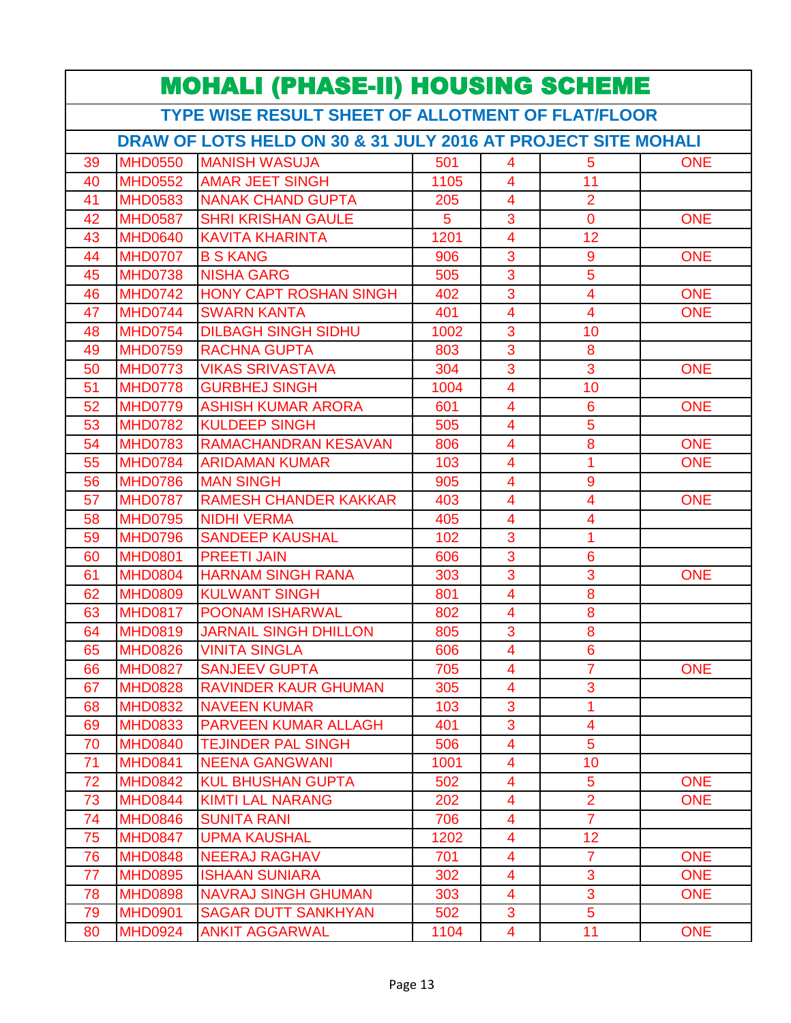| <b>MOHALI (PHASE-II) HOUSING SCHEME</b>                       |                |                               |      |                         |                         |            |  |  |  |  |
|---------------------------------------------------------------|----------------|-------------------------------|------|-------------------------|-------------------------|------------|--|--|--|--|
| TYPE WISE RESULT SHEET OF ALLOTMENT OF FLAT/FLOOR             |                |                               |      |                         |                         |            |  |  |  |  |
| DRAW OF LOTS HELD ON 30 & 31 JULY 2016 AT PROJECT SITE MOHALI |                |                               |      |                         |                         |            |  |  |  |  |
| 39                                                            | <b>MHD0550</b> | <b>MANISH WASUJA</b>          | 501  | 4                       | 5                       | <b>ONE</b> |  |  |  |  |
| 40                                                            | <b>MHD0552</b> | <b>AMAR JEET SINGH</b>        | 1105 | $\overline{4}$          | 11                      |            |  |  |  |  |
| 41                                                            | <b>MHD0583</b> | <b>NANAK CHAND GUPTA</b>      | 205  | $\overline{4}$          | $\overline{2}$          |            |  |  |  |  |
| 42                                                            | <b>MHD0587</b> | <b>SHRI KRISHAN GAULE</b>     | 5    | 3                       | $\overline{0}$          | <b>ONE</b> |  |  |  |  |
| 43                                                            | <b>MHD0640</b> | <b>KAVITA KHARINTA</b>        | 1201 | 4                       | 12                      |            |  |  |  |  |
| 44                                                            | <b>MHD0707</b> | <b>B S KANG</b>               | 906  | 3                       | 9                       | <b>ONE</b> |  |  |  |  |
| 45                                                            | <b>MHD0738</b> | <b>NISHA GARG</b>             | 505  | 3                       | $\overline{5}$          |            |  |  |  |  |
| 46                                                            | <b>MHD0742</b> | <b>HONY CAPT ROSHAN SINGH</b> | 402  | 3                       | $\overline{4}$          | <b>ONE</b> |  |  |  |  |
| 47                                                            | <b>MHD0744</b> | <b>SWARN KANTA</b>            | 401  | 4                       | $\overline{4}$          | <b>ONE</b> |  |  |  |  |
| 48                                                            | <b>MHD0754</b> | <b>DILBAGH SINGH SIDHU</b>    | 1002 | 3                       | 10                      |            |  |  |  |  |
| 49                                                            | <b>MHD0759</b> | <b>RACHNA GUPTA</b>           | 803  | 3                       | 8                       |            |  |  |  |  |
| 50                                                            | <b>MHD0773</b> | <b>VIKAS SRIVASTAVA</b>       | 304  | 3                       | 3                       | <b>ONE</b> |  |  |  |  |
| 51                                                            | <b>MHD0778</b> | <b>GURBHEJ SINGH</b>          | 1004 | $\overline{4}$          | 10                      |            |  |  |  |  |
| 52                                                            | <b>MHD0779</b> | <b>ASHISH KUMAR ARORA</b>     | 601  | 4                       | 6                       | <b>ONE</b> |  |  |  |  |
| 53                                                            | <b>MHD0782</b> | <b>KULDEEP SINGH</b>          | 505  | $\overline{4}$          | $\overline{5}$          |            |  |  |  |  |
| 54                                                            | <b>MHD0783</b> | <b>RAMACHANDRAN KESAVAN</b>   | 806  | 4                       | 8                       | <b>ONE</b> |  |  |  |  |
| 55                                                            | <b>MHD0784</b> | <b>ARIDAMAN KUMAR</b>         | 103  | 4                       | 1                       | <b>ONE</b> |  |  |  |  |
| 56                                                            | <b>MHD0786</b> | <b>MAN SINGH</b>              | 905  | 4                       | 9                       |            |  |  |  |  |
| 57                                                            | <b>MHD0787</b> | <b>RAMESH CHANDER KAKKAR</b>  | 403  | 4                       | $\overline{4}$          | <b>ONE</b> |  |  |  |  |
| 58                                                            | <b>MHD0795</b> | <b>NIDHI VERMA</b>            | 405  | $\overline{\mathbf{4}}$ | $\overline{\mathbf{4}}$ |            |  |  |  |  |
| 59                                                            | <b>MHD0796</b> | <b>SANDEEP KAUSHAL</b>        | 102  | 3                       | 1                       |            |  |  |  |  |
| 60                                                            | <b>MHD0801</b> | <b>PREETI JAIN</b>            | 606  | 3                       | 6                       |            |  |  |  |  |
| 61                                                            | <b>MHD0804</b> | <b>HARNAM SINGH RANA</b>      | 303  | 3                       | 3                       | <b>ONE</b> |  |  |  |  |
| 62                                                            | <b>MHD0809</b> | <b>KULWANT SINGH</b>          | 801  | $\overline{\mathbf{4}}$ | 8                       |            |  |  |  |  |
| 63                                                            | <b>MHD0817</b> | <b>POONAM ISHARWAL</b>        | 802  | $\overline{\mathbf{4}}$ | 8                       |            |  |  |  |  |
| 64                                                            | <b>MHD0819</b> | <b>JARNAIL SINGH DHILLON</b>  | 805  | 3                       | 8                       |            |  |  |  |  |
| 65                                                            |                | MHD0826 VINITA SINGLA         | 606  | $\overline{\mathbf{4}}$ | $\boldsymbol{6}$        |            |  |  |  |  |
| 66                                                            | <b>MHD0827</b> | <b>SANJEEV GUPTA</b>          | 705  | 4                       | $\overline{7}$          | <b>ONE</b> |  |  |  |  |
| 67                                                            | <b>MHD0828</b> | <b>RAVINDER KAUR GHUMAN</b>   | 305  | $\overline{\mathbf{4}}$ | 3                       |            |  |  |  |  |
| 68                                                            | <b>MHD0832</b> | <b>NAVEEN KUMAR</b>           | 103  | 3                       | 1                       |            |  |  |  |  |
| 69                                                            | <b>MHD0833</b> | PARVEEN KUMAR ALLAGH          | 401  | 3                       | $\overline{4}$          |            |  |  |  |  |
| 70                                                            | <b>MHD0840</b> | <b>TEJINDER PAL SINGH</b>     | 506  | 4                       | 5                       |            |  |  |  |  |
| 71                                                            | <b>MHD0841</b> | <b>NEENA GANGWANI</b>         | 1001 | $\overline{\mathbf{4}}$ | 10                      |            |  |  |  |  |
| 72                                                            | <b>MHD0842</b> | <b>KUL BHUSHAN GUPTA</b>      | 502  | 4                       | 5                       | <b>ONE</b> |  |  |  |  |
| 73                                                            | <b>MHD0844</b> | <b>KIMTI LAL NARANG</b>       | 202  | 4                       | $\overline{2}$          | <b>ONE</b> |  |  |  |  |
| 74                                                            | <b>MHD0846</b> | <b>SUNITA RANI</b>            | 706  | 4                       | $\overline{7}$          |            |  |  |  |  |
| 75                                                            | <b>MHD0847</b> | <b>UPMA KAUSHAL</b>           | 1202 | 4                       | 12                      |            |  |  |  |  |
| 76                                                            | <b>MHD0848</b> | <b>NEERAJ RAGHAV</b>          | 701  | $\overline{4}$          | $\overline{7}$          | <b>ONE</b> |  |  |  |  |
| 77                                                            | <b>MHD0895</b> | <b>ISHAAN SUNIARA</b>         | 302  | 4                       | 3                       | <b>ONE</b> |  |  |  |  |
| 78                                                            | <b>MHD0898</b> | <b>NAVRAJ SINGH GHUMAN</b>    | 303  | 4                       | 3                       | <b>ONE</b> |  |  |  |  |
| 79                                                            | <b>MHD0901</b> | <b>SAGAR DUTT SANKHYAN</b>    | 502  | 3                       | 5                       |            |  |  |  |  |
| 80                                                            | <b>MHD0924</b> | <b>ANKIT AGGARWAL</b>         | 1104 | 4                       | 11                      | <b>ONE</b> |  |  |  |  |